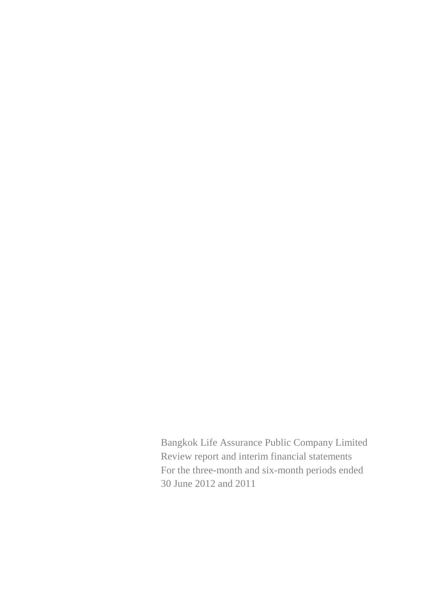Bangkok Life Assurance Public Company Limited Review report and interim financial statements For the three-month and six-month periods ended 30 June 2012 and 2011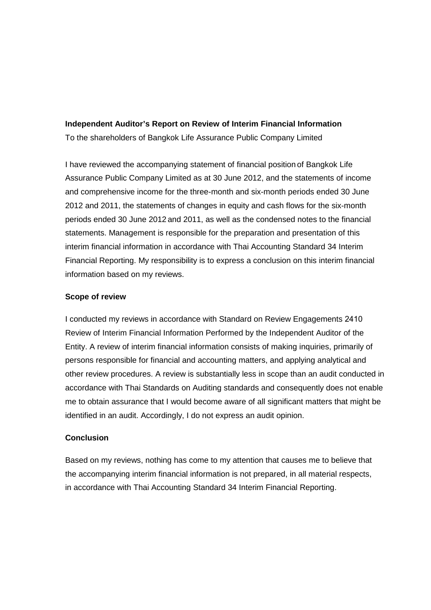#### **Independent Auditor's Report on Review of Interim Financial Information**

To the shareholders of Bangkok Life Assurance Public Company Limited

I have reviewed the accompanying statement of financial position of Bangkok Life Assurance Public Company Limited as at 30 June 2012, and the statements of income and comprehensive income for the three-month and six-month periods ended 30 June 2012 and 2011, the statements of changes in equity and cash flows for the six-month periods ended 30 June 2012 and 2011, as well as the condensed notes to the financial statements. Management is responsible for the preparation and presentation of this interim financial information in accordance with Thai Accounting Standard 34 Interim Financial Reporting. My responsibility is to express a conclusion on this interim financial information based on my reviews.

#### **Scope of review**

I conducted my reviews in accordance with Standard on Review Engagements 2410 Review of Interim Financial Information Performed by the Independent Auditor of the Entity. A review of interim financial information consists of making inquiries, primarily of persons responsible for financial and accounting matters, and applying analytical and other review procedures. A review is substantially less in scope than an audit conducted in accordance with Thai Standards on Auditing standards and consequently does not enable me to obtain assurance that I would become aware of all significant matters that might be identified in an audit. Accordingly, I do not express an audit opinion.

## **Conclusion**

Based on my reviews, nothing has come to my attention that causes me to believe that the accompanying interim financial information is not prepared, in all material respects, in accordance with Thai Accounting Standard 34 Interim Financial Reporting.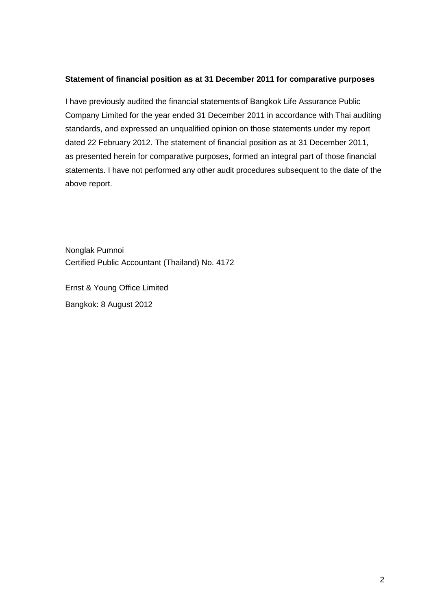#### **Statement of financial position as at 31 December 2011 for comparative purposes**

I have previously audited the financial statements of Bangkok Life Assurance Public Company Limited for the year ended 31 December 2011 in accordance with Thai auditing standards, and expressed an unqualified opinion on those statements under my report dated 22 February 2012. The statement of financial position as at 31 December 2011, as presented herein for comparative purposes, formed an integral part of those financial statements. I have not performed any other audit procedures subsequent to the date of the above report.

Nonglak Pumnoi Certified Public Accountant (Thailand) No. 4172

Ernst & Young Office Limited Bangkok: 8 August 2012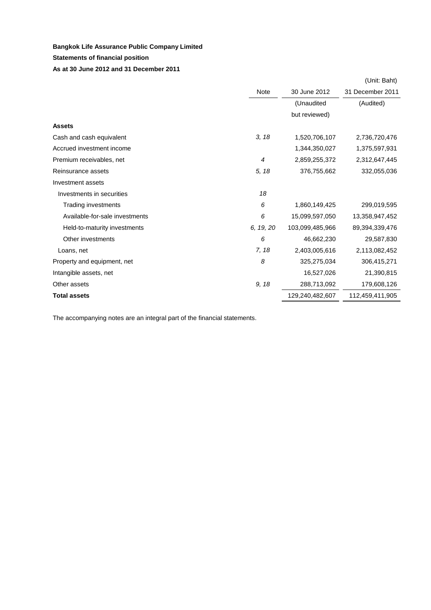#### **Statements of financial position**

#### **As at 30 June 2012 and 31 December 2011**

|                                |                |                 | (Unit: Baht)     |
|--------------------------------|----------------|-----------------|------------------|
|                                | Note           | 30 June 2012    | 31 December 2011 |
|                                |                | (Unaudited      | (Audited)        |
|                                |                | but reviewed)   |                  |
| <b>Assets</b>                  |                |                 |                  |
| Cash and cash equivalent       | 3, 18          | 1,520,706,107   | 2,736,720,476    |
| Accrued investment income      |                | 1,344,350,027   | 1,375,597,931    |
| Premium receivables, net       | $\overline{4}$ | 2,859,255,372   | 2,312,647,445    |
| Reinsurance assets             | 5, 18          | 376,755,662     | 332,055,036      |
| Investment assets              |                |                 |                  |
| Investments in securities      | 18             |                 |                  |
| Trading investments            | 6              | 1,860,149,425   | 299,019,595      |
| Available-for-sale investments | 6              | 15,099,597,050  | 13,358,947,452   |
| Held-to-maturity investments   | 6, 19, 20      | 103,099,485,966 | 89,394,339,476   |
| Other investments              | 6              | 46,662,230      | 29,587,830       |
| Loans, net                     | 7, 18          | 2,403,005,616   | 2,113,082,452    |
| Property and equipment, net    | 8              | 325,275,034     | 306,415,271      |
| Intangible assets, net         |                | 16,527,026      | 21,390,815       |
| Other assets                   | 9, 18          | 288,713,092     | 179,608,126      |
| <b>Total assets</b>            |                | 129,240,482,607 | 112,459,411,905  |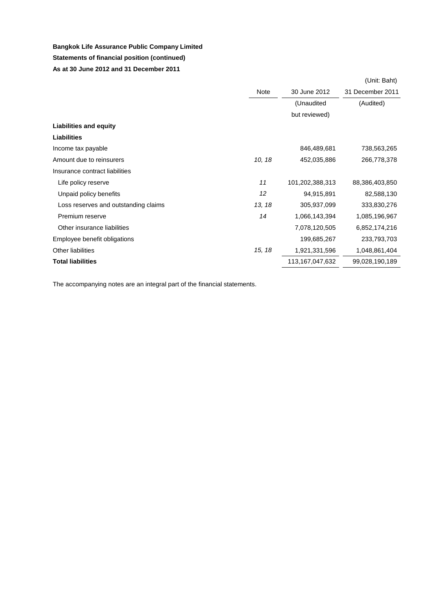## **Statements of financial position (continued) Bangkok Life Assurance Public Company Limited**

**As at 30 June 2012 and 31 December 2011**

|                                      |        |                 | (Unit: Baht)     |
|--------------------------------------|--------|-----------------|------------------|
|                                      | Note   | 30 June 2012    | 31 December 2011 |
|                                      |        | (Unaudited      | (Audited)        |
|                                      |        | but reviewed)   |                  |
| <b>Liabilities and equity</b>        |        |                 |                  |
| <b>Liabilities</b>                   |        |                 |                  |
| Income tax payable                   |        | 846,489,681     | 738,563,265      |
| Amount due to reinsurers             | 10, 18 | 452,035,886     | 266,778,378      |
| Insurance contract liabilities       |        |                 |                  |
| Life policy reserve                  | 11     | 101,202,388,313 | 88,386,403,850   |
| Unpaid policy benefits               | 12     | 94,915,891      | 82,588,130       |
| Loss reserves and outstanding claims | 13, 18 | 305,937,099     | 333,830,276      |
| Premium reserve                      | 14     | 1,066,143,394   | 1,085,196,967    |
| Other insurance liabilities          |        | 7,078,120,505   | 6,852,174,216    |
| Employee benefit obligations         |        | 199,685,267     | 233,793,703      |
| Other liabilities                    | 15, 18 | 1,921,331,596   | 1,048,861,404    |
| <b>Total liabilities</b>             |        | 113,167,047,632 | 99,028,190,189   |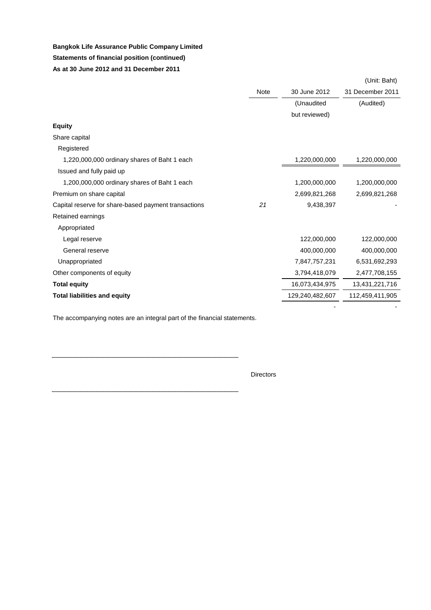## **Bangkok Life Assurance Public Company Limited Statements of financial position (continued) As at 30 June 2012 and 31 December 2011**

|                                                      |             |                 | (Unit: Baht)     |
|------------------------------------------------------|-------------|-----------------|------------------|
|                                                      | <b>Note</b> | 30 June 2012    | 31 December 2011 |
|                                                      |             | (Unaudited      | (Audited)        |
|                                                      |             | but reviewed)   |                  |
| <b>Equity</b>                                        |             |                 |                  |
| Share capital                                        |             |                 |                  |
| Registered                                           |             |                 |                  |
| 1,220,000,000 ordinary shares of Baht 1 each         |             | 1,220,000,000   | 1,220,000,000    |
| Issued and fully paid up                             |             |                 |                  |
| 1,200,000,000 ordinary shares of Baht 1 each         |             | 1,200,000,000   | 1,200,000,000    |
| Premium on share capital                             |             | 2,699,821,268   | 2,699,821,268    |
| Capital reserve for share-based payment transactions | 21          | 9,438,397       |                  |
| Retained earnings                                    |             |                 |                  |
| Appropriated                                         |             |                 |                  |
| Legal reserve                                        |             | 122,000,000     | 122,000,000      |
| General reserve                                      |             | 400,000,000     | 400,000,000      |
| Unappropriated                                       |             | 7,847,757,231   | 6,531,692,293    |
| Other components of equity                           |             | 3,794,418,079   | 2,477,708,155    |
| <b>Total equity</b>                                  |             | 16,073,434,975  | 13,431,221,716   |
| <b>Total liabilities and equity</b>                  |             | 129,240,482,607 | 112,459,411,905  |
|                                                      |             |                 |                  |

The accompanying notes are an integral part of the financial statements.

Directors

. . . . . .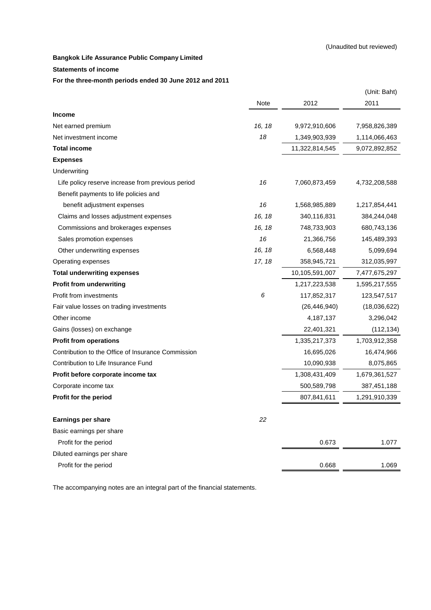#### **Statements of income**

**For the three-month periods ended 30 June 2012 and 2011**

| Note<br>2012<br>2011<br><b>Income</b><br>16, 18<br>9,972,910,606<br>7,958,826,389<br>18<br>Net investment income<br>1,349,903,939<br>1,114,066,463<br>11,322,814,545<br>9,072,892,852<br>16<br>Life policy reserve increase from previous period<br>7,060,873,459<br>4,732,208,588<br>Benefit payments to life policies and<br>16<br>benefit adjustment expenses<br>1,568,985,889<br>1,217,854,441<br>16, 18<br>Claims and losses adjustment expenses<br>340,116,831<br>384,244,048<br>16, 18<br>Commissions and brokerages expenses<br>748,733,903<br>680,743,136<br>16<br>21,366,756<br>145,489,393<br>Sales promotion expenses<br>16, 18<br>6,568,448<br>Other underwriting expenses<br>5,099,694<br>17, 18<br>358,945,721<br>312,035,997<br>10,105,591,007<br>7,477,675,297<br>1,217,223,538<br>1,595,217,555<br>6<br>117,852,317<br>123,547,517<br>(26, 446, 940)<br>(18,036,622)<br>4,187,137<br>Other income<br>3,296,042<br>22,401,321<br>(112, 134)<br>1,335,217,373<br>1,703,912,358<br>16,695,026<br>16,474,966<br>10,090,938<br>8,075,865<br>1,308,431,409<br>1,679,361,527<br>500,589,798<br>387,451,188<br>807,841,611<br>1,291,910,339<br>22<br><b>Earnings per share</b><br>Basic earnings per share<br>Profit for the period<br>0.673<br>1.077<br>Diluted earnings per share<br>Profit for the period<br>0.668<br>1.069 |                                                    |  | (Unit: Baht) |
|------------------------------------------------------------------------------------------------------------------------------------------------------------------------------------------------------------------------------------------------------------------------------------------------------------------------------------------------------------------------------------------------------------------------------------------------------------------------------------------------------------------------------------------------------------------------------------------------------------------------------------------------------------------------------------------------------------------------------------------------------------------------------------------------------------------------------------------------------------------------------------------------------------------------------------------------------------------------------------------------------------------------------------------------------------------------------------------------------------------------------------------------------------------------------------------------------------------------------------------------------------------------------------------------------------------------------------------|----------------------------------------------------|--|--------------|
|                                                                                                                                                                                                                                                                                                                                                                                                                                                                                                                                                                                                                                                                                                                                                                                                                                                                                                                                                                                                                                                                                                                                                                                                                                                                                                                                          |                                                    |  |              |
|                                                                                                                                                                                                                                                                                                                                                                                                                                                                                                                                                                                                                                                                                                                                                                                                                                                                                                                                                                                                                                                                                                                                                                                                                                                                                                                                          |                                                    |  |              |
|                                                                                                                                                                                                                                                                                                                                                                                                                                                                                                                                                                                                                                                                                                                                                                                                                                                                                                                                                                                                                                                                                                                                                                                                                                                                                                                                          | Net earned premium                                 |  |              |
|                                                                                                                                                                                                                                                                                                                                                                                                                                                                                                                                                                                                                                                                                                                                                                                                                                                                                                                                                                                                                                                                                                                                                                                                                                                                                                                                          |                                                    |  |              |
|                                                                                                                                                                                                                                                                                                                                                                                                                                                                                                                                                                                                                                                                                                                                                                                                                                                                                                                                                                                                                                                                                                                                                                                                                                                                                                                                          | <b>Total income</b>                                |  |              |
|                                                                                                                                                                                                                                                                                                                                                                                                                                                                                                                                                                                                                                                                                                                                                                                                                                                                                                                                                                                                                                                                                                                                                                                                                                                                                                                                          | <b>Expenses</b>                                    |  |              |
|                                                                                                                                                                                                                                                                                                                                                                                                                                                                                                                                                                                                                                                                                                                                                                                                                                                                                                                                                                                                                                                                                                                                                                                                                                                                                                                                          | Underwriting                                       |  |              |
|                                                                                                                                                                                                                                                                                                                                                                                                                                                                                                                                                                                                                                                                                                                                                                                                                                                                                                                                                                                                                                                                                                                                                                                                                                                                                                                                          |                                                    |  |              |
|                                                                                                                                                                                                                                                                                                                                                                                                                                                                                                                                                                                                                                                                                                                                                                                                                                                                                                                                                                                                                                                                                                                                                                                                                                                                                                                                          |                                                    |  |              |
|                                                                                                                                                                                                                                                                                                                                                                                                                                                                                                                                                                                                                                                                                                                                                                                                                                                                                                                                                                                                                                                                                                                                                                                                                                                                                                                                          |                                                    |  |              |
|                                                                                                                                                                                                                                                                                                                                                                                                                                                                                                                                                                                                                                                                                                                                                                                                                                                                                                                                                                                                                                                                                                                                                                                                                                                                                                                                          |                                                    |  |              |
|                                                                                                                                                                                                                                                                                                                                                                                                                                                                                                                                                                                                                                                                                                                                                                                                                                                                                                                                                                                                                                                                                                                                                                                                                                                                                                                                          |                                                    |  |              |
|                                                                                                                                                                                                                                                                                                                                                                                                                                                                                                                                                                                                                                                                                                                                                                                                                                                                                                                                                                                                                                                                                                                                                                                                                                                                                                                                          |                                                    |  |              |
|                                                                                                                                                                                                                                                                                                                                                                                                                                                                                                                                                                                                                                                                                                                                                                                                                                                                                                                                                                                                                                                                                                                                                                                                                                                                                                                                          |                                                    |  |              |
|                                                                                                                                                                                                                                                                                                                                                                                                                                                                                                                                                                                                                                                                                                                                                                                                                                                                                                                                                                                                                                                                                                                                                                                                                                                                                                                                          | Operating expenses                                 |  |              |
|                                                                                                                                                                                                                                                                                                                                                                                                                                                                                                                                                                                                                                                                                                                                                                                                                                                                                                                                                                                                                                                                                                                                                                                                                                                                                                                                          | <b>Total underwriting expenses</b>                 |  |              |
|                                                                                                                                                                                                                                                                                                                                                                                                                                                                                                                                                                                                                                                                                                                                                                                                                                                                                                                                                                                                                                                                                                                                                                                                                                                                                                                                          | <b>Profit from underwriting</b>                    |  |              |
|                                                                                                                                                                                                                                                                                                                                                                                                                                                                                                                                                                                                                                                                                                                                                                                                                                                                                                                                                                                                                                                                                                                                                                                                                                                                                                                                          | Profit from investments                            |  |              |
|                                                                                                                                                                                                                                                                                                                                                                                                                                                                                                                                                                                                                                                                                                                                                                                                                                                                                                                                                                                                                                                                                                                                                                                                                                                                                                                                          | Fair value losses on trading investments           |  |              |
|                                                                                                                                                                                                                                                                                                                                                                                                                                                                                                                                                                                                                                                                                                                                                                                                                                                                                                                                                                                                                                                                                                                                                                                                                                                                                                                                          |                                                    |  |              |
|                                                                                                                                                                                                                                                                                                                                                                                                                                                                                                                                                                                                                                                                                                                                                                                                                                                                                                                                                                                                                                                                                                                                                                                                                                                                                                                                          | Gains (losses) on exchange                         |  |              |
|                                                                                                                                                                                                                                                                                                                                                                                                                                                                                                                                                                                                                                                                                                                                                                                                                                                                                                                                                                                                                                                                                                                                                                                                                                                                                                                                          | <b>Profit from operations</b>                      |  |              |
|                                                                                                                                                                                                                                                                                                                                                                                                                                                                                                                                                                                                                                                                                                                                                                                                                                                                                                                                                                                                                                                                                                                                                                                                                                                                                                                                          | Contribution to the Office of Insurance Commission |  |              |
|                                                                                                                                                                                                                                                                                                                                                                                                                                                                                                                                                                                                                                                                                                                                                                                                                                                                                                                                                                                                                                                                                                                                                                                                                                                                                                                                          | Contribution to Life Insurance Fund                |  |              |
|                                                                                                                                                                                                                                                                                                                                                                                                                                                                                                                                                                                                                                                                                                                                                                                                                                                                                                                                                                                                                                                                                                                                                                                                                                                                                                                                          | Profit before corporate income tax                 |  |              |
|                                                                                                                                                                                                                                                                                                                                                                                                                                                                                                                                                                                                                                                                                                                                                                                                                                                                                                                                                                                                                                                                                                                                                                                                                                                                                                                                          | Corporate income tax                               |  |              |
|                                                                                                                                                                                                                                                                                                                                                                                                                                                                                                                                                                                                                                                                                                                                                                                                                                                                                                                                                                                                                                                                                                                                                                                                                                                                                                                                          | Profit for the period                              |  |              |
|                                                                                                                                                                                                                                                                                                                                                                                                                                                                                                                                                                                                                                                                                                                                                                                                                                                                                                                                                                                                                                                                                                                                                                                                                                                                                                                                          |                                                    |  |              |
|                                                                                                                                                                                                                                                                                                                                                                                                                                                                                                                                                                                                                                                                                                                                                                                                                                                                                                                                                                                                                                                                                                                                                                                                                                                                                                                                          |                                                    |  |              |
|                                                                                                                                                                                                                                                                                                                                                                                                                                                                                                                                                                                                                                                                                                                                                                                                                                                                                                                                                                                                                                                                                                                                                                                                                                                                                                                                          |                                                    |  |              |
|                                                                                                                                                                                                                                                                                                                                                                                                                                                                                                                                                                                                                                                                                                                                                                                                                                                                                                                                                                                                                                                                                                                                                                                                                                                                                                                                          |                                                    |  |              |
|                                                                                                                                                                                                                                                                                                                                                                                                                                                                                                                                                                                                                                                                                                                                                                                                                                                                                                                                                                                                                                                                                                                                                                                                                                                                                                                                          |                                                    |  |              |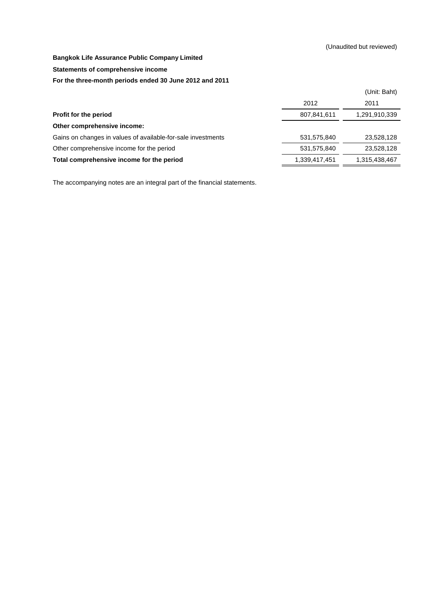**Statements of comprehensive income**

#### **For the three-month periods ended 30 June 2012 and 2011**

|                                                              |               | (Unit: Baht)  |
|--------------------------------------------------------------|---------------|---------------|
|                                                              | 2012          | 2011          |
| <b>Profit for the period</b>                                 | 807,841,611   | 1,291,910,339 |
| Other comprehensive income:                                  |               |               |
| Gains on changes in values of available-for-sale investments | 531,575,840   | 23,528,128    |
| Other comprehensive income for the period                    | 531,575,840   | 23,528,128    |
| Total comprehensive income for the period                    | 1,339,417,451 | 1,315,438,467 |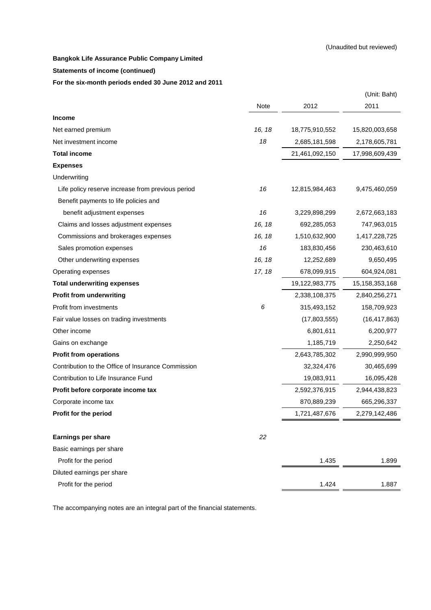#### **Statements of income (continued)**

**For the six-month periods ended 30 June 2012 and 2011**

|                                                    |        |                | (Unit: Baht)   |
|----------------------------------------------------|--------|----------------|----------------|
|                                                    | Note   | 2012           | 2011           |
| Income                                             |        |                |                |
| Net earned premium                                 | 16, 18 | 18,775,910,552 | 15,820,003,658 |
| Net investment income                              | 18     | 2,685,181,598  | 2,178,605,781  |
| <b>Total income</b>                                |        | 21,461,092,150 | 17,998,609,439 |
| <b>Expenses</b>                                    |        |                |                |
| Underwriting                                       |        |                |                |
| Life policy reserve increase from previous period  | 16     | 12,815,984,463 | 9,475,460,059  |
| Benefit payments to life policies and              |        |                |                |
| benefit adjustment expenses                        | 16     | 3,229,898,299  | 2,672,663,183  |
| Claims and losses adjustment expenses              | 16, 18 | 692,285,053    | 747,963,015    |
| Commissions and brokerages expenses                | 16, 18 | 1,510,632,900  | 1,417,228,725  |
| Sales promotion expenses                           | 16     | 183,830,456    | 230,463,610    |
| Other underwriting expenses                        | 16, 18 | 12,252,689     | 9,650,495      |
| Operating expenses                                 | 17, 18 | 678,099,915    | 604,924,081    |
| <b>Total underwriting expenses</b>                 |        | 19,122,983,775 | 15,158,353,168 |
| <b>Profit from underwriting</b>                    |        | 2,338,108,375  | 2,840,256,271  |
| Profit from investments                            | 6      | 315,493,152    | 158,709,923    |
| Fair value losses on trading investments           |        | (17,803,555)   | (16, 417, 863) |
| Other income                                       |        | 6,801,611      | 6,200,977      |
| Gains on exchange                                  |        | 1,185,719      | 2,250,642      |
| <b>Profit from operations</b>                      |        | 2,643,785,302  | 2,990,999,950  |
| Contribution to the Office of Insurance Commission |        | 32,324,476     | 30,465,699     |
| Contribution to Life Insurance Fund                |        | 19,083,911     | 16,095,428     |
| Profit before corporate income tax                 |        | 2,592,376,915  | 2,944,438,823  |
| Corporate income tax                               |        | 870,889,239    | 665,296,337    |
| Profit for the period                              |        | 1,721,487,676  | 2,279,142,486  |
| Earnings per share                                 | 22     |                |                |
| Basic earnings per share                           |        |                |                |
| Profit for the period                              |        | 1.435          | 1.899          |
| Diluted earnings per share                         |        |                |                |
| Profit for the period                              |        | 1.424          | 1.887          |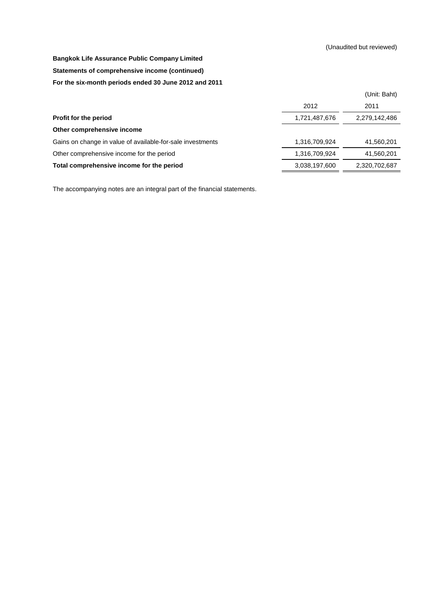#### **Statements of comprehensive income (continued)**

#### **For the six-month periods ended 30 June 2012 and 2011**

|                                                            |               | (Unit: Baht)  |
|------------------------------------------------------------|---------------|---------------|
|                                                            | 2012          | 2011          |
| Profit for the period                                      | 1,721,487,676 | 2,279,142,486 |
| Other comprehensive income                                 |               |               |
| Gains on change in value of available-for-sale investments | 1,316,709,924 | 41,560,201    |
| Other comprehensive income for the period                  | 1,316,709,924 | 41,560,201    |
| Total comprehensive income for the period                  | 3,038,197,600 | 2,320,702,687 |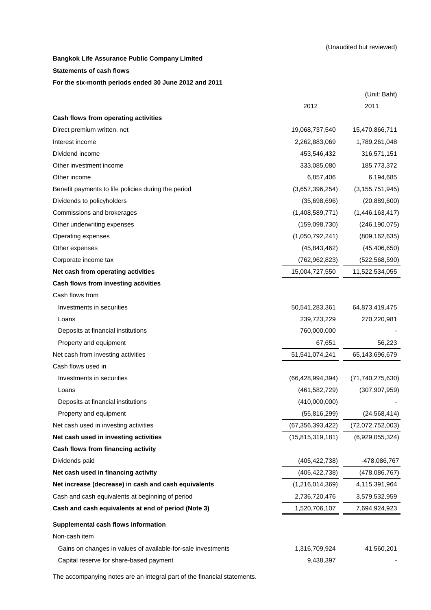**Statements of cash flows**

#### **For the six-month periods ended 30 June 2012 and 2011**

|                                                              |                     | (Unit: Baht)        |
|--------------------------------------------------------------|---------------------|---------------------|
|                                                              | 2012                | 2011                |
| Cash flows from operating activities                         |                     |                     |
| Direct premium written, net                                  | 19,068,737,540      | 15,470,866,711      |
| Interest income                                              | 2,262,883,069       | 1,789,261,048       |
| Dividend income                                              | 453,546,432         | 316,571,151         |
| Other investment income                                      | 333,085,080         | 185,773,372         |
| Other income                                                 | 6,857,406           | 6,194,685           |
| Benefit payments to life policies during the period          | (3,657,396,254)     | (3, 155, 751, 945)  |
| Dividends to policyholders                                   | (35,698,696)        | (20, 889, 600)      |
| Commissions and brokerages                                   | (1,408,589,771)     | (1,446,163,417)     |
| Other underwriting expenses                                  | (159,098,730)       | (246, 190, 075)     |
| Operating expenses                                           | (1,050,792,241)     | (809, 162, 635)     |
| Other expenses                                               | (45, 843, 462)      | (45, 406, 650)      |
| Corporate income tax                                         | (762, 962, 823)     | (522, 568, 590)     |
| Net cash from operating activities                           | 15,004,727,550      | 11,522,534,055      |
| Cash flows from investing activities                         |                     |                     |
| Cash flows from                                              |                     |                     |
| Investments in securities                                    | 50,541,283,361      | 64,873,419,475      |
| Loans                                                        | 239,723,229         | 270,220,981         |
| Deposits at financial institutions                           | 760,000,000         |                     |
| Property and equipment                                       | 67,651              | 56,223              |
| Net cash from investing activities                           | 51,541,074,241      | 65,143,696,679      |
| Cash flows used in                                           |                     |                     |
| Investments in securities                                    | (66, 428, 994, 394) | (71, 740, 275, 630) |
| Loans                                                        | (461, 582, 729)     | (307, 907, 959)     |
| Deposits at financial institutions                           | (410,000,000)       |                     |
| Property and equipment                                       | (55, 816, 299)      | (24, 568, 414)      |
| Net cash used in investing activities                        | (67, 356, 393, 422) | (72,072,752,003)    |
| Net cash used in investing activities                        | (15,815,319,181)    | (6,929,055,324)     |
| Cash flows from financing activity                           |                     |                     |
| Dividends paid                                               | (405, 422, 738)     | -478,086,767        |
| Net cash used in financing activity                          | (405, 422, 738)     | (478,086,767)       |
| Net increase (decrease) in cash and cash equivalents         | (1,216,014,369)     | 4,115,391,964       |
| Cash and cash equivalents at beginning of period             | 2,736,720,476       | 3,579,532,959       |
| Cash and cash equivalents at end of period (Note 3)          | 1,520,706,107       | 7,694,924,923       |
| Supplemental cash flows information                          |                     |                     |
| Non-cash item                                                |                     |                     |
| Gains on changes in values of available-for-sale investments | 1,316,709,924       | 41,560,201          |
| Capital reserve for share-based payment                      | 9,438,397           |                     |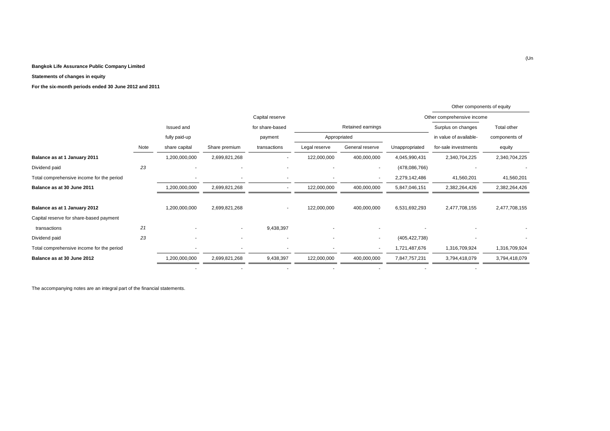#### **Statements of changes in equity**

**For the six-month periods ended 30 June 2012 and 2011**

|                                           |      |                          |                          |                          |                          |                          |                 | Other components of equity |               |
|-------------------------------------------|------|--------------------------|--------------------------|--------------------------|--------------------------|--------------------------|-----------------|----------------------------|---------------|
|                                           |      |                          |                          | Capital reserve          |                          |                          |                 | Other comprehensive income |               |
|                                           |      | Issued and               |                          | for share-based          |                          | Retained earnings        |                 | Surplus on changes         | Total other   |
|                                           |      | fully paid-up            |                          | payment                  |                          | Appropriated             |                 | in value of available-     | components of |
|                                           | Note | share capital            | Share premium            | transactions             | Legal reserve            | General reserve          | Unappropriated  | for-sale investments       | equity        |
| Balance as at 1 January 2011              |      | 1,200,000,000            | 2,699,821,268            | ٠                        | 122,000,000              | 400,000,000              | 4,045,990,431   | 2,340,704,225              | 2,340,704,225 |
| Dividend paid                             | 23   | $\overline{\phantom{a}}$ | $\overline{\phantom{a}}$ | ٠                        |                          | ٠                        | (478,086,766)   |                            |               |
| Total comprehensive income for the period |      | $\overline{\phantom{a}}$ |                          | ٠                        |                          | ٠                        | 2,279,142,486   | 41,560,201                 | 41,560,201    |
| Balance as at 30 June 2011                |      | 1,200,000,000            | 2,699,821,268            | ٠                        | 122,000,000              | 400,000,000              | 5,847,046,151   | 2,382,264,426              | 2,382,264,426 |
|                                           |      |                          |                          |                          |                          |                          |                 |                            |               |
| Balance as at 1 January 2012              |      | 1,200,000,000            | 2,699,821,268            | $\overline{\phantom{a}}$ | 122,000,000              | 400,000,000              | 6,531,692,293   | 2,477,708,155              | 2,477,708,155 |
| Capital reserve for share-based payment   |      |                          |                          |                          |                          |                          |                 |                            |               |
| transactions                              | 21   |                          | $\sim$                   | 9,438,397                |                          | ٠                        |                 |                            |               |
| Dividend paid                             | 23   | ٠                        | $\overline{\phantom{a}}$ | ٠                        | $\overline{\phantom{a}}$ | ٠                        | (405, 422, 738) | $\blacksquare$             | ۰             |
| Total comprehensive income for the period |      | ٠                        | $\overline{\phantom{a}}$ | ٠                        |                          | $\overline{\phantom{a}}$ | 1,721,487,676   | 1,316,709,924              | 1,316,709,924 |
| Balance as at 30 June 2012                |      | 1,200,000,000            | 2,699,821,268            | 9,438,397                | 122,000,000              | 400,000,000              | 7,847,757,231   | 3,794,418,079              | 3,794,418,079 |
|                                           |      |                          |                          |                          |                          |                          |                 |                            |               |

- - - - - - -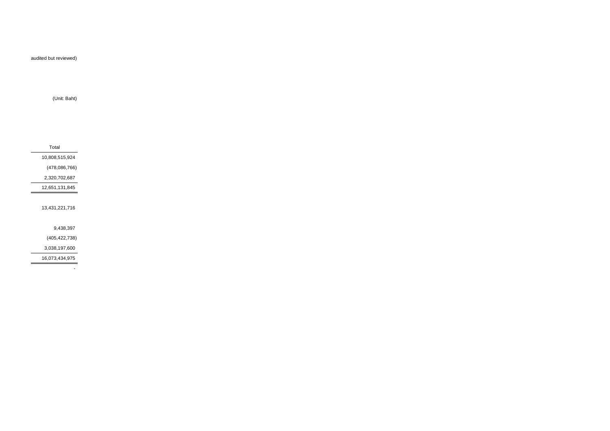audited but reviewed)

(Unit: Baht)

Total 10,808,515,924(478,086,766)2,320,702,68712,651,131,84513,431,221,7169,438,397(405,422,738) 3,038,197,600

16,073,434,975

-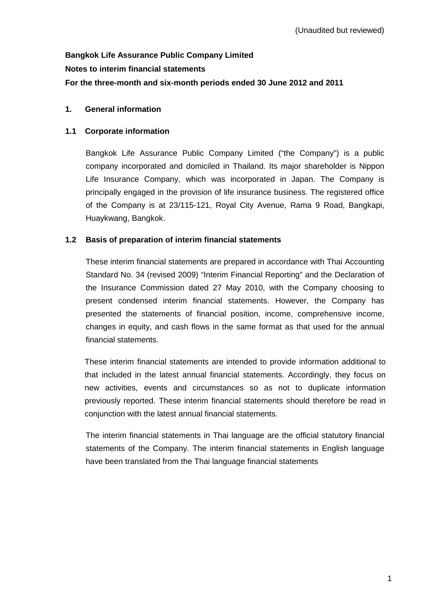# **Bangkok Life Assurance Public Company Limited Notes to interim financial statements For the three-month and six-month periods ended 30 June 2012 and 2011**

## **1. General information**

## **1.1 Corporate information**

Bangkok Life Assurance Public Company Limited ("the Company") is a public company incorporated and domiciled in Thailand. Its major shareholder is Nippon Life Insurance Company, which was incorporated in Japan. The Company is principally engaged in the provision of life insurance business. The registered office of the Company is at 23/115-121, Royal City Avenue, Rama 9 Road, Bangkapi, Huaykwang, Bangkok.

## **1.2 Basis of preparation of interim financial statements**

These interim financial statements are prepared in accordance with Thai Accounting Standard No. 34 (revised 2009) "Interim Financial Reporting" and the Declaration of the Insurance Commission dated 27 May 2010, with the Company choosing to present condensed interim financial statements. However, the Company has presented the statements of financial position, income, comprehensive income, changes in equity, and cash flows in the same format as that used for the annual financial statements.

 These interim financial statements are intended to provide information additional to that included in the latest annual financial statements. Accordingly, they focus on new activities, events and circumstances so as not to duplicate information previously reported. These interim financial statements should therefore be read in conjunction with the latest annual financial statements.

 The interim financial statements in Thai language are the official statutory financial statements of the Company. The interim financial statements in English language have been translated from the Thai language financial statements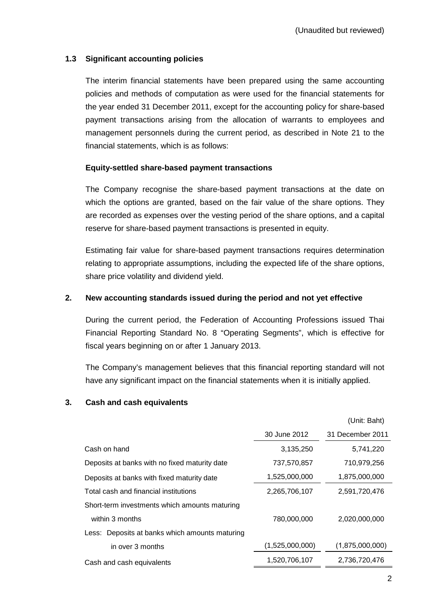## **1.3 Significant accounting policies**

 The interim financial statements have been prepared using the same accounting policies and methods of computation as were used for the financial statements for the year ended 31 December 2011, except for the accounting policy for share-based payment transactions arising from the allocation of warrants to employees and management personnels during the current period, as described in Note 21 to the financial statements, which is as follows:

#### **Equity-settled share-based payment transactions**

 The Company recognise the share-based payment transactions at the date on which the options are granted, based on the fair value of the share options. They are recorded as expenses over the vesting period of the share options, and a capital reserve for share-based payment transactions is presented in equity.

 Estimating fair value for share-based payment transactions requires determination relating to appropriate assumptions, including the expected life of the share options, share price volatility and dividend yield.

#### **2. New accounting standards issued during the period and not yet effective**

 During the current period, the Federation of Accounting Professions issued Thai Financial Reporting Standard No. 8 "Operating Segments", which is effective for fiscal years beginning on or after 1 January 2013.

The Company's management believes that this financial reporting standard will not have any significant impact on the financial statements when it is initially applied.

#### **3. Cash and cash equivalents**

|                                                |                 | (Unit: Baht)     |
|------------------------------------------------|-----------------|------------------|
|                                                | 30 June 2012    | 31 December 2011 |
| Cash on hand                                   | 3,135,250       | 5,741,220        |
| Deposits at banks with no fixed maturity date  | 737,570,857     | 710,979,256      |
| Deposits at banks with fixed maturity date     | 1,525,000,000   | 1,875,000,000    |
| Total cash and financial institutions          | 2,265,706,107   | 2,591,720,476    |
| Short-term investments which amounts maturing  |                 |                  |
| within 3 months                                | 780,000,000     | 2,020,000,000    |
| Less: Deposits at banks which amounts maturing |                 |                  |
| in over 3 months                               | (1,525,000,000) | (1,875,000,000)  |
| Cash and cash equivalents                      | 1,520,706,107   | 2,736,720,476    |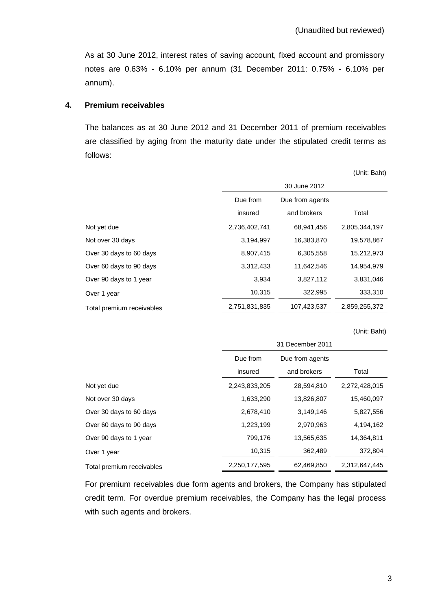As at 30 June 2012, interest rates of saving account, fixed account and promissory notes are 0.63% - 6.10% per annum (31 December 2011: 0.75% - 6.10% per annum).

#### **4. Premium receivables**

 The balances as at 30 June 2012 and 31 December 2011 of premium receivables are classified by aging from the maturity date under the stipulated credit terms as follows:

(Unit: Baht)

|                           | 30 June 2012  |                 |               |  |
|---------------------------|---------------|-----------------|---------------|--|
|                           | Due from      | Due from agents |               |  |
|                           | insured       | and brokers     | Total         |  |
| Not yet due               | 2,736,402,741 | 68,941,456      | 2,805,344,197 |  |
| Not over 30 days          | 3,194,997     | 16,383,870      | 19,578,867    |  |
| Over 30 days to 60 days   | 8,907,415     | 6,305,558       | 15,212,973    |  |
| Over 60 days to 90 days   | 3,312,433     | 11,642,546      | 14,954,979    |  |
| Over 90 days to 1 year    | 3,934         | 3,827,112       | 3,831,046     |  |
| Over 1 year               | 10,315        | 322,995         | 333,310       |  |
| Total premium receivables | 2,751,831,835 | 107,423,537     | 2,859,255,372 |  |

(Unit: Baht)

|                           | 31 December 2011 |                 |               |  |
|---------------------------|------------------|-----------------|---------------|--|
|                           | Due from         | Due from agents |               |  |
|                           | insured          | and brokers     | Total         |  |
| Not yet due               | 2,243,833,205    | 28,594,810      | 2,272,428,015 |  |
| Not over 30 days          | 1,633,290        | 13,826,807      | 15,460,097    |  |
| Over 30 days to 60 days   | 2,678,410        | 3,149,146       | 5,827,556     |  |
| Over 60 days to 90 days   | 1,223,199        | 2,970,963       | 4,194,162     |  |
| Over 90 days to 1 year    | 799,176          | 13,565,635      | 14,364,811    |  |
| Over 1 year               | 10,315           | 362,489         | 372,804       |  |
| Total premium receivables | 2,250,177,595    | 62,469,850      | 2,312,647,445 |  |

 For premium receivables due form agents and brokers, the Company has stipulated credit term. For overdue premium receivables, the Company has the legal process with such agents and brokers.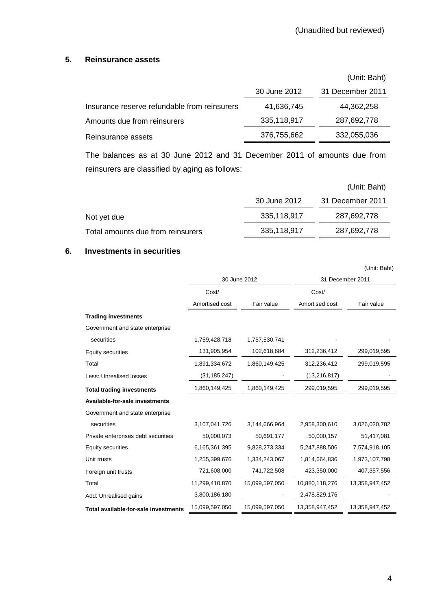#### **5. Reinsurance assets**

|                                              |              | (Unit: Baht)     |
|----------------------------------------------|--------------|------------------|
|                                              | 30 June 2012 | 31 December 2011 |
| Insurance reserve refundable from reinsurers | 41,636,745   | 44,362,258       |
| Amounts due from reinsurers                  | 335,118,917  | 287,692,778      |
| Reinsurance assets                           | 376,755,662  | 332,055,036      |

The balances as at 30 June 2012 and 31 December 2011 of amounts due from reinsurers are classified by aging as follows:

|                                   |              | (Unit: Baht)     |
|-----------------------------------|--------------|------------------|
|                                   | 30 June 2012 | 31 December 2011 |
| Not yet due                       | 335,118,917  | 287,692,778      |
| Total amounts due from reinsurers | 335,118,917  | 287,692,778      |

## **6. Investments in securities**

|                                      |                |                |                | (Unit: Baht)     |
|--------------------------------------|----------------|----------------|----------------|------------------|
|                                      |                | 30 June 2012   |                | 31 December 2011 |
|                                      | Cost/          |                | Cost/          |                  |
|                                      | Amortised cost | Fair value     | Amortised cost | Fair value       |
| <b>Trading investments</b>           |                |                |                |                  |
| Government and state enterprise      |                |                |                |                  |
| securities                           | 1,759,428,718  | 1,757,530,741  |                |                  |
| <b>Equity securities</b>             | 131,905,954    | 102,618,684    | 312,236,412    | 299,019,595      |
| Total                                | 1,891,334,672  | 1,860,149,425  | 312,236,412    | 299,019,595      |
| Less: Unrealised losses              | (31, 185, 247) |                | (13, 216, 817) |                  |
| <b>Total trading investments</b>     | 1,860,149,425  | 1,860,149,425  | 299,019,595    | 299,019,595      |
| Available-for-sale investments       |                |                |                |                  |
| Government and state enterprise      |                |                |                |                  |
| securities                           | 3,107,041,726  | 3,144,666,964  | 2,958,300,610  | 3,026,020,782    |
| Private enterprises debt securities  | 50,000,073     | 50,691,177     | 50,000,157     | 51,417,081       |
| <b>Equity securities</b>             | 6,165,361,395  | 9,828,273,334  | 5,247,888,506  | 7,574,918,105    |
| Unit trusts                          | 1,255,399,676  | 1,334,243,067  | 1,814,664,836  | 1,973,107,798    |
| Foreign unit trusts                  | 721,608,000    | 741,722,508    | 423,350,000    | 407,357,556      |
| Total                                | 11,299,410,870 | 15,099,597,050 | 10,880,118,276 | 13,358,947,452   |
| Add: Unrealised gains                | 3,800,186,180  |                | 2,478,829,176  |                  |
| Total available-for-sale investments | 15,099,597,050 | 15,099,597,050 | 13,358,947,452 | 13,358,947,452   |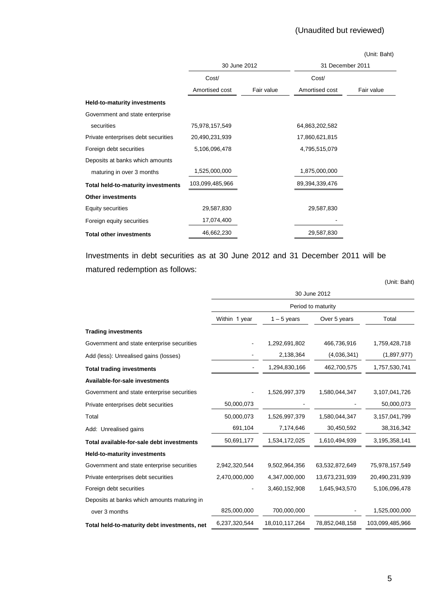# (Unaudited but reviewed)

|                                     |                 |            |                  | (Unit: Baht) |  |
|-------------------------------------|-----------------|------------|------------------|--------------|--|
|                                     | 30 June 2012    |            | 31 December 2011 |              |  |
|                                     | Cost/           |            | Cost/            |              |  |
|                                     | Amortised cost  | Fair value | Amortised cost   | Fair value   |  |
| <b>Held-to-maturity investments</b> |                 |            |                  |              |  |
| Government and state enterprise     |                 |            |                  |              |  |
| securities                          | 75,978,157,549  |            | 64,863,202,582   |              |  |
| Private enterprises debt securities | 20,490,231,939  |            | 17,860,621,815   |              |  |
| Foreign debt securities             | 5,106,096,478   |            | 4,795,515,079    |              |  |
| Deposits at banks which amounts     |                 |            |                  |              |  |
| maturing in over 3 months           | 1,525,000,000   |            | 1,875,000,000    |              |  |
| Total held-to-maturity investments  | 103,099,485,966 |            | 89,394,339,476   |              |  |
| <b>Other investments</b>            |                 |            |                  |              |  |
| Equity securities                   | 29,587,830      |            | 29,587,830       |              |  |
| Foreign equity securities           | 17,074,400      |            |                  |              |  |
| <b>Total other investments</b>      | 46,662,230      |            | 29,587,830       |              |  |

Investments in debt securities as at 30 June 2012 and 31 December 2011 will be matured redemption as follows:

|                                              |                    |                |                | (Unit: Baht)    |
|----------------------------------------------|--------------------|----------------|----------------|-----------------|
|                                              | 30 June 2012       |                |                |                 |
|                                              | Period to maturity |                |                |                 |
|                                              | Within 1 year      | $1 - 5$ years  | Over 5 years   | Total           |
| <b>Trading investments</b>                   |                    |                |                |                 |
| Government and state enterprise securities   |                    | 1,292,691,802  | 466,736,916    | 1,759,428,718   |
| Add (less): Unrealised gains (losses)        |                    | 2,138,364      | (4,036,341)    | (1,897,977)     |
| <b>Total trading investments</b>             |                    | 1,294,830,166  | 462,700,575    | 1,757,530,741   |
| <b>Available-for-sale investments</b>        |                    |                |                |                 |
| Government and state enterprise securities   |                    | 1,526,997,379  | 1,580,044,347  | 3,107,041,726   |
| Private enterprises debt securities          | 50,000,073         |                |                | 50,000,073      |
| Total                                        | 50,000,073         | 1,526,997,379  | 1,580,044,347  | 3,157,041,799   |
| Add: Unrealised gains                        | 691,104            | 7,174,646      | 30,450,592     | 38,316,342      |
| Total available-for-sale debt investments    | 50,691,177         | 1,534,172,025  | 1,610,494,939  | 3,195,358,141   |
| <b>Held-to-maturity investments</b>          |                    |                |                |                 |
| Government and state enterprise securities   | 2,942,320,544      | 9,502,964,356  | 63,532,872,649 | 75,978,157,549  |
| Private enterprises debt securities          | 2,470,000,000      | 4,347,000,000  | 13,673,231,939 | 20,490,231,939  |
| Foreign debt securities                      |                    | 3,460,152,908  | 1,645,943,570  | 5,106,096,478   |
| Deposits at banks which amounts maturing in  |                    |                |                |                 |
| over 3 months                                | 825,000,000        | 700,000,000    |                | 1,525,000,000   |
| Total held-to-maturity debt investments, net | 6,237,320,544      | 18,010,117,264 | 78,852,048,158 | 103,099,485,966 |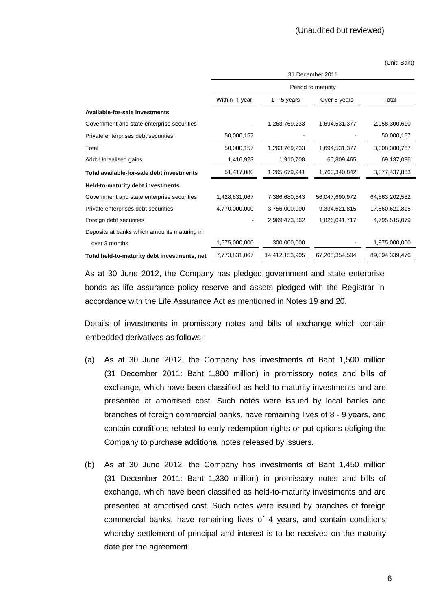(Unit: Baht)

|                                              | 31 December 2011   |                |                |                |  |
|----------------------------------------------|--------------------|----------------|----------------|----------------|--|
|                                              | Period to maturity |                |                |                |  |
|                                              | Within 1 year      | $1 - 5$ years  | Over 5 years   | Total          |  |
| Available-for-sale investments               |                    |                |                |                |  |
| Government and state enterprise securities   |                    | 1,263,769,233  | 1,694,531,377  | 2,958,300,610  |  |
| Private enterprises debt securities          | 50,000,157         |                |                | 50,000,157     |  |
| Total                                        | 50,000,157         | 1,263,769,233  | 1,694,531,377  | 3,008,300,767  |  |
| Add: Unrealised gains                        | 1,416,923          | 1,910,708      | 65,809,465     | 69,137,096     |  |
| Total available-for-sale debt investments    | 51,417,080         | 1,265,679,941  | 1,760,340,842  | 3,077,437,863  |  |
| Held-to-maturity debt investments            |                    |                |                |                |  |
| Government and state enterprise securities   | 1,428,831,067      | 7,386,680,543  | 56,047,690,972 | 64,863,202,582 |  |
| Private enterprises debt securities          | 4,770,000,000      | 3,756,000,000  | 9,334,621,815  | 17,860,621,815 |  |
| Foreign debt securities                      |                    | 2,969,473,362  | 1,826,041,717  | 4,795,515,079  |  |
| Deposits at banks which amounts maturing in  |                    |                |                |                |  |
| over 3 months                                | 1,575,000,000      | 300,000,000    |                | 1,875,000,000  |  |
| Total held-to-maturity debt investments, net | 7,773,831,067      | 14,412,153,905 | 67,208,354,504 | 89,394,339,476 |  |

 As at 30 June 2012, the Company has pledged government and state enterprise bonds as life assurance policy reserve and assets pledged with the Registrar in accordance with the Life Assurance Act as mentioned in Notes 19 and 20.

 Details of investments in promissory notes and bills of exchange which contain embedded derivatives as follows:

- (a) As at 30 June 2012, the Company has investments of Baht 1,500 million (31 December 2011: Baht 1,800 million) in promissory notes and bills of exchange, which have been classified as held-to-maturity investments and are presented at amortised cost. Such notes were issued by local banks and branches of foreign commercial banks, have remaining lives of 8 - 9 years, and contain conditions related to early redemption rights or put options obliging the Company to purchase additional notes released by issuers.
- (b) As at 30 June 2012, the Company has investments of Baht 1,450 million (31 December 2011: Baht 1,330 million) in promissory notes and bills of exchange, which have been classified as held-to-maturity investments and are presented at amortised cost. Such notes were issued by branches of foreign commercial banks, have remaining lives of 4 years, and contain conditions whereby settlement of principal and interest is to be received on the maturity date per the agreement.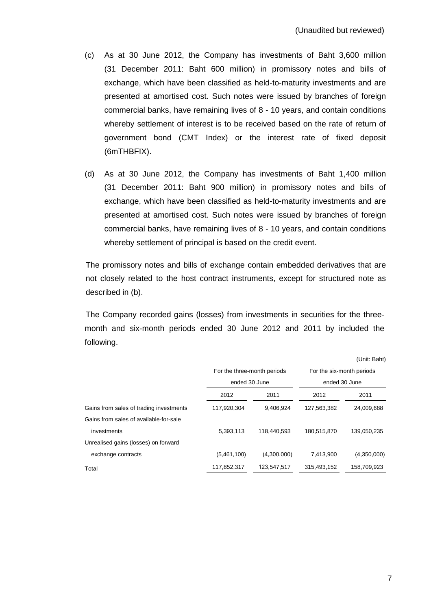- (c) As at 30 June 2012, the Company has investments of Baht 3,600 million (31 December 2011: Baht 600 million) in promissory notes and bills of exchange, which have been classified as held-to-maturity investments and are presented at amortised cost. Such notes were issued by branches of foreign commercial banks, have remaining lives of 8 - 10 years, and contain conditions whereby settlement of interest is to be received based on the rate of return of government bond (CMT Index) or the interest rate of fixed deposit (6mTHBFIX).
- (d) As at 30 June 2012, the Company has investments of Baht 1,400 million (31 December 2011: Baht 900 million) in promissory notes and bills of exchange, which have been classified as held-to-maturity investments and are presented at amortised cost. Such notes were issued by branches of foreign commercial banks, have remaining lives of 8 - 10 years, and contain conditions whereby settlement of principal is based on the credit event.

 The promissory notes and bills of exchange contain embedded derivatives that are not closely related to the host contract instruments, except for structured note as described in (b).

The Company recorded gains (losses) from investments in securities for the threemonth and six-month periods ended 30 June 2012 and 2011 by included the following.

|               |                                                                | For the six-month periods                                                                                                                       |  |
|---------------|----------------------------------------------------------------|-------------------------------------------------------------------------------------------------------------------------------------------------|--|
| ended 30 June |                                                                | ended 30 June                                                                                                                                   |  |
| 2011          | 2012                                                           | 2011                                                                                                                                            |  |
|               |                                                                | 24,009,688                                                                                                                                      |  |
|               |                                                                |                                                                                                                                                 |  |
|               |                                                                | 139,050,235                                                                                                                                     |  |
|               |                                                                |                                                                                                                                                 |  |
|               |                                                                | (4,350,000)                                                                                                                                     |  |
|               |                                                                | 158,709,923                                                                                                                                     |  |
|               | 2012<br>117,920,304<br>5,393,113<br>(5,461,100)<br>117,852,317 | For the three-month periods<br>9.406.924<br>127,563,382<br>118,440,593<br>180,515,870<br>(4,300,000)<br>7,413,900<br>123,547,517<br>315,493,152 |  |

7

 $\mathbf{u}$  (  $\mathbf{u}$  )  $\mathbf{u}$  (  $\mathbf{u}$ )  $\mathbf{u}$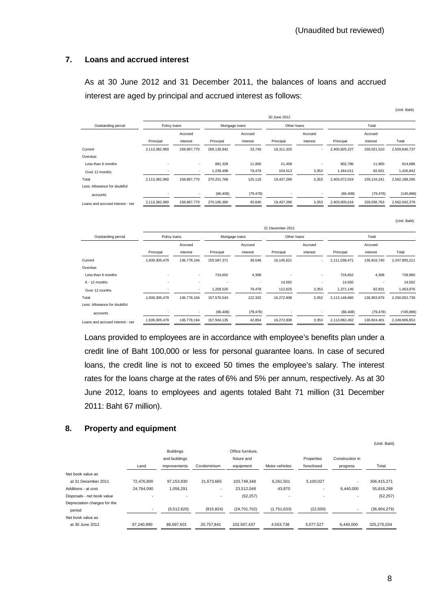## **7. Loans and accrued interest**

 As at 30 June 2012 and 31 December 2011, the balances of loans and accrued interest are aged by principal and accrued interest as follows:

|                                  |                |                          |                |           |              |          |               |             | (Unit: Baht)  |
|----------------------------------|----------------|--------------------------|----------------|-----------|--------------|----------|---------------|-------------|---------------|
|                                  |                |                          |                |           | 30 June 2012 |          |               |             |               |
| Outstanding period               | Policy loans   |                          | Mortgage loans |           | Other Ioans  |          |               | Total       |               |
|                                  |                | Accrued                  |                | Accrued   |              | Accrued  |               | Accrued     |               |
|                                  | Principal      | interest                 | Principal      | interest  | Principal    | interest | Principal     | interest    | Total         |
| Current                          | 2,113,382,960  | 158,987,770              | 268,130,942    | 33,740    | 19,311,325   |          | 2,400,825,227 | 159,021,510 | 2,559,846,737 |
| Overdue:                         |                |                          |                |           |              |          |               |             |               |
| Less than 6 months               | $\blacksquare$ | $\sim$                   | 881,328        | 11,900    | 21,458       | $\sim$   | 902,786       | 11,900      | 914,686       |
| Over 12 months                   |                | $\overline{\phantom{a}}$ | 1,239,498      | 79,478    | 104,513      | 3,353    | 1,344,011     | 82,831      | 1,426,842     |
| Total                            | 2,113,382,960  | 158,987,770              | 270,251,768    | 125,118   | 19,437,296   | 3,353    | 2,403,072,024 | 159,116,241 | 2,562,188,265 |
| Less: Allowance for doubtful     |                |                          |                |           |              |          |               |             |               |
| accounts                         |                | $\sim$                   | (66, 408)      | (79, 478) |              | $\sim$   | (66, 408)     | (79, 478)   | (145, 886)    |
| Loans and accrued interest - net | 2,113,382,960  | 158,987,770              | 270, 185, 360  | 45,640    | 19,437,296   | 3,353    | 2,403,005,616 | 159,036,763 | 2,562,042,379 |

31 December 2011 Outstanding period Policy loans Mortgage loans Other loans Total Accrued Accrued Accrued Accrued Principal interest Principal interest Principal interest Principal interest Total Current 1,939,305,479 136,778,194 155,587,371 38,546 16,145,621 - 2,111,038,471 136,816,740 2,247,855,211 Overdue: Less than 6 months - - 724,652 4,308 - - 724,652 4,308 728,960 6 - 12 months - - - - 14,592 - 14,592 - 14,592 Over 12 months **1.000 12 1.000 12 1.000 12 1.000 12 1.000 12 1.000 12 1.000 1** 1.371,145 **82,831** 1,453,976 Total 1,939,305,479 136,778,194 157,570,543 122,332 16,272,838 3,353 2,113,148,860 136,903,879 2,250,052,739 Less: Allowance for doubtful accounts - - (66,408) (79,478) - - (66,408) (79,478) (145,886) Loans and accrued interest - net 1,939,305,479 136,778,194 157,504,135 42,854 16,272,838 3,353 2,113,082,452 136,824,401 2,249,906,853

 Loans provided to employees are in accordance with employee's benefits plan under a credit line of Baht 100,000 or less for personal guarantee loans. In case of secured loans, the credit line is not to exceed 50 times the employee's salary. The interest rates for the loans charge at the rates of 6% and 5% per annum, respectively. As at 30 June 2012, loans to employees and agents totaled Baht 71 million (31 December 2011: Baht 67 million).

## **8. Property and equipment**

|                              |            |                                   |             |                                  |                |                          |                 | (Unit: Baht) |
|------------------------------|------------|-----------------------------------|-------------|----------------------------------|----------------|--------------------------|-----------------|--------------|
|                              |            | <b>Buildings</b><br>and buildings |             | Office furniture.<br>fixture and |                | Properties               | Construction in |              |
|                              | Land       | improvements                      | Condominium | equipment                        | Motor vehicles | foreclosed               | progress        | Total        |
| Net book value as            |            |                                   |             |                                  |                |                          |                 |              |
| at 31 December 2011          | 72,476,800 | 97,153,930                        | 21,673,665  | 103,749,348                      | 6,261,501      | 5,100,027                | $\sim$          | 306,415,271  |
| Additions - at cost          | 24.764.090 | 1,056,291                         | ٠           | 23,512,048                       | 43,870         |                          | 6,440,000       | 55,816,299   |
| Disposals - net book value   |            | ۰                                 | ٠           | (52, 257)                        |                | $\overline{\phantom{a}}$ |                 | (52, 257)    |
| Depreciation charges for the |            |                                   |             |                                  |                |                          |                 |              |
| period                       | ۰          | (9,512,620)                       | (915, 824)  | (24, 701, 702)                   | (1,751,633)    | (22,500)                 |                 | (36,904,279) |
| Net book value as            |            |                                   |             |                                  |                |                          |                 |              |
| at 30 June 2012              | 97,240,890 | 88,697,601                        | 20,757,841  | 102,507,437                      | 4,553,738      | 5,077,527                | 6,440,000       | 325,275,034  |

(Unit: Baht)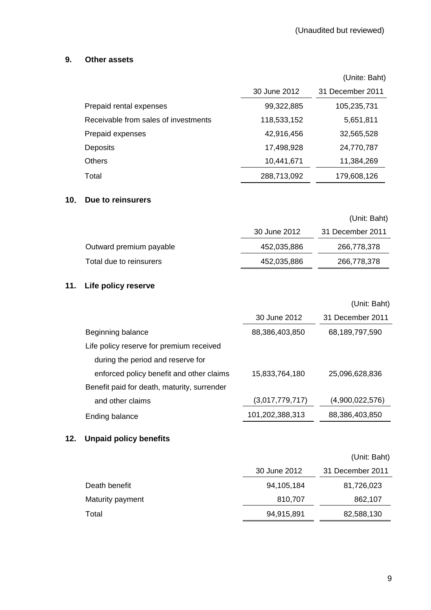## **9. Other assets**

|                                      |              | (Unite: Baht)    |
|--------------------------------------|--------------|------------------|
|                                      | 30 June 2012 | 31 December 2011 |
| Prepaid rental expenses              | 99,322,885   | 105,235,731      |
| Receivable from sales of investments | 118,533,152  | 5,651,811        |
| Prepaid expenses                     | 42,916,456   | 32,565,528       |
| <b>Deposits</b>                      | 17,498,928   | 24,770,787       |
| <b>Others</b>                        | 10,441,671   | 11,384,269       |
| Total                                | 288,713,092  | 179,608,126      |

#### **10**. **Due to reinsurers**

|                         |              | (Unit: Baht)     |
|-------------------------|--------------|------------------|
|                         | 30 June 2012 | 31 December 2011 |
| Outward premium payable | 452,035,886  | 266,778,378      |
| Total due to reinsurers | 452,035,886  | 266,778,378      |
|                         |              |                  |

## **11. Life policy reserve**

|                                             |                 | (Unit: Baht)     |
|---------------------------------------------|-----------------|------------------|
|                                             | 30 June 2012    | 31 December 2011 |
| Beginning balance                           | 88,386,403,850  | 68,189,797,590   |
| Life policy reserve for premium received    |                 |                  |
| during the period and reserve for           |                 |                  |
| enforced policy benefit and other claims    | 15,833,764,180  | 25,096,628,836   |
| Benefit paid for death, maturity, surrender |                 |                  |
| and other claims                            | (3,017,779,717) | (4,900,022,576)  |
| Ending balance                              | 101,202,388,313 | 88,386,403,850   |

## **12. Unpaid policy benefits**

|                  |              | (Unit: Baht)     |
|------------------|--------------|------------------|
|                  | 30 June 2012 | 31 December 2011 |
| Death benefit    | 94,105,184   | 81,726,023       |
| Maturity payment | 810,707      | 862,107          |
| Total            | 94,915,891   | 82,588,130       |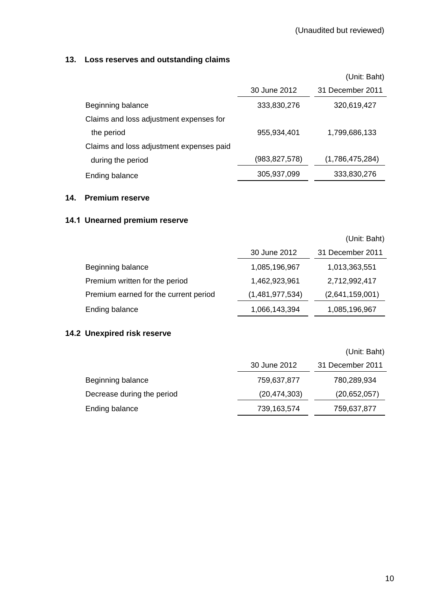## **13. Loss reserves and outstanding claims**

|                                          |               | (Unit: Baht)     |
|------------------------------------------|---------------|------------------|
|                                          | 30 June 2012  | 31 December 2011 |
| Beginning balance                        | 333,830,276   | 320,619,427      |
| Claims and loss adjustment expenses for  |               |                  |
| the period                               | 955,934,401   | 1,799,686,133    |
| Claims and loss adjustment expenses paid |               |                  |
| during the period                        | (983,827,578) | (1,786,475,284)  |
| Ending balance                           | 305,937,099   | 333,830,276      |

#### **14. Premium reserve**

## **14.1 Unearned premium reserve**

|                                       |                 | (Unit: Baht)     |
|---------------------------------------|-----------------|------------------|
|                                       | 30 June 2012    | 31 December 2011 |
| Beginning balance                     | 1,085,196,967   | 1,013,363,551    |
| Premium written for the period        | 1,462,923,961   | 2,712,992,417    |
| Premium earned for the current period | (1,481,977,534) | (2,641,159,001)  |
| Ending balance                        | 1,066,143,394   | 1,085,196,967    |

## **14.2 Unexpired risk reserve**

|                            |                | (Unit: Baht)     |
|----------------------------|----------------|------------------|
|                            | 30 June 2012   | 31 December 2011 |
| Beginning balance          | 759,637,877    | 780,289,934      |
| Decrease during the period | (20, 474, 303) | (20,652,057)     |
| Ending balance             | 739,163,574    | 759,637,877      |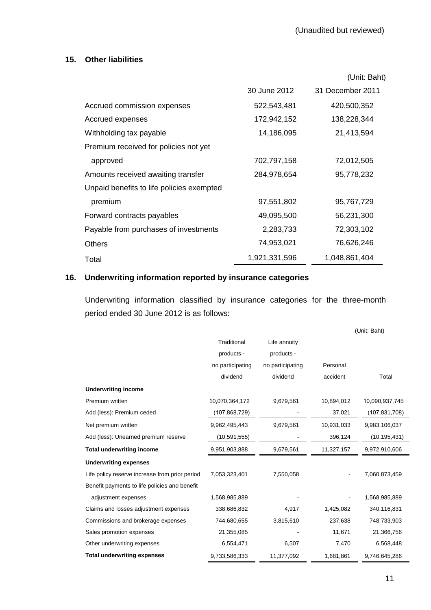## **15. Other liabilities**

|                                           |               | (Unit: Baht)     |
|-------------------------------------------|---------------|------------------|
|                                           | 30 June 2012  | 31 December 2011 |
| Accrued commission expenses               | 522,543,481   | 420,500,352      |
| Accrued expenses                          | 172,942,152   | 138,228,344      |
| Withholding tax payable                   | 14,186,095    | 21,413,594       |
| Premium received for policies not yet     |               |                  |
| approved                                  | 702,797,158   | 72,012,505       |
| Amounts received awaiting transfer        | 284,978,654   | 95,778,232       |
| Unpaid benefits to life policies exempted |               |                  |
| premium                                   | 97,551,802    | 95,767,729       |
| Forward contracts payables                | 49,095,500    | 56,231,300       |
| Payable from purchases of investments     | 2,283,733     | 72,303,102       |
| <b>Others</b>                             | 74,953,021    | 76,626,246       |
| Total                                     | 1,921,331,596 | 1,048,861,404    |

## **16. Underwriting information reported by insurance categories**

 Underwriting information classified by insurance categories for the three-month period ended 30 June 2012 is as follows:

|                                                |                  |                  |            | (Unit: Baht)    |
|------------------------------------------------|------------------|------------------|------------|-----------------|
|                                                | Traditional      | Life annuity     |            |                 |
|                                                | products -       | products -       |            |                 |
|                                                | no participating | no participating | Personal   |                 |
|                                                | dividend         | dividend         | accident   | Total           |
| <b>Underwriting income</b>                     |                  |                  |            |                 |
| Premium written                                | 10,070,364,172   | 9,679,561        | 10,894,012 | 10,090,937,745  |
| Add (less): Premium ceded                      | (107, 868, 729)  |                  | 37,021     | (107, 831, 708) |
| Net premium written                            | 9,962,495,443    | 9,679,561        | 10,931,033 | 9,983,106,037   |
| Add (less): Unearned premium reserve           | (10, 591, 555)   |                  | 396,124    | (10, 195, 431)  |
| <b>Total underwriting income</b>               | 9,951,903,888    | 9,679,561        | 11,327,157 | 9,972,910,606   |
| <b>Underwriting expenses</b>                   |                  |                  |            |                 |
| Life policy reserve increase from prior period | 7,053,323,401    | 7,550,058        |            | 7,060,873,459   |
| Benefit payments to life policies and benefit  |                  |                  |            |                 |
| adjustment expenses                            | 1,568,985,889    |                  |            | 1,568,985,889   |
| Claims and losses adjustment expenses          | 338,686,832      | 4,917            | 1,425,082  | 340,116,831     |
| Commissions and brokerage expenses             | 744,680,655      | 3,815,610        | 237,638    | 748,733,903     |
| Sales promotion expenses                       | 21,355,085       |                  | 11,671     | 21,366,756      |
| Other underwriting expenses                    | 6,554,471        | 6,507            | 7,470      | 6,568,448       |
| <b>Total underwriting expenses</b>             | 9,733,586,333    | 11,377,092       | 1,681,861  | 9,746,645,286   |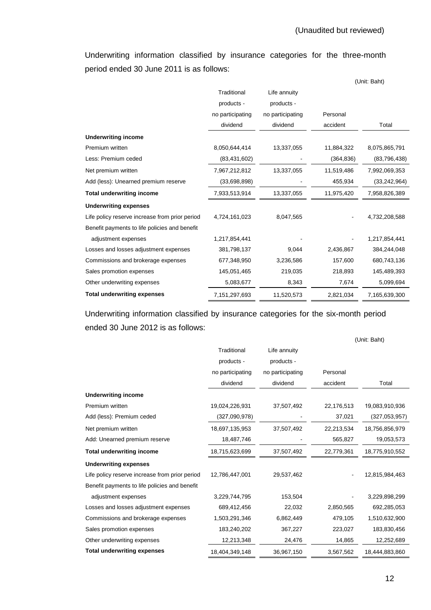Underwriting information classified by insurance categories for the three-month period ended 30 June 2011 is as follows:

|                                                |                  |                  |            | (Unit: Baht)   |
|------------------------------------------------|------------------|------------------|------------|----------------|
|                                                | Traditional      | Life annuity     |            |                |
|                                                | products -       | products -       |            |                |
|                                                | no participating | no participating | Personal   |                |
|                                                | dividend         | dividend         | accident   | Total          |
| <b>Underwriting income</b>                     |                  |                  |            |                |
| Premium written                                | 8,050,644,414    | 13,337,055       | 11,884,322 | 8,075,865,791  |
| Less: Premium ceded                            | (83, 431, 602)   |                  | (364, 836) | (83, 796, 438) |
| Net premium written                            | 7,967,212,812    | 13,337,055       | 11,519,486 | 7,992,069,353  |
| Add (less): Unearned premium reserve           | (33,698,898)     |                  | 455,934    | (33, 242, 964) |
| <b>Total underwriting income</b>               | 7,933,513,914    | 13,337,055       | 11,975,420 | 7,958,826,389  |
| <b>Underwriting expenses</b>                   |                  |                  |            |                |
| Life policy reserve increase from prior period | 4,724,161,023    | 8,047,565        |            | 4,732,208,588  |
| Benefit payments to life policies and benefit  |                  |                  |            |                |
| adjustment expenses                            | 1,217,854,441    |                  |            | 1,217,854,441  |
| Losses and losses adjustment expenses          | 381,798,137      | 9,044            | 2,436,867  | 384,244,048    |
| Commissions and brokerage expenses             | 677,348,950      | 3,236,586        | 157,600    | 680,743,136    |
| Sales promotion expenses                       | 145,051,465      | 219,035          | 218,893    | 145,489,393    |
| Other underwriting expenses                    | 5,083,677        | 8,343            | 7,674      | 5,099,694      |
| <b>Total underwriting expenses</b>             | 7,151,297,693    | 11,520,573       | 2,821,034  | 7,165,639,300  |

 Underwriting information classified by insurance categories for the six-month period ended 30 June 2012 is as follows:

|                                                |                  |                  |            | (Unit: Baht)   |
|------------------------------------------------|------------------|------------------|------------|----------------|
|                                                | Traditional      | Life annuity     |            |                |
|                                                | products -       | products -       |            |                |
|                                                | no participating | no participating | Personal   |                |
|                                                | dividend         | dividend         | accident   | Total          |
| <b>Underwriting income</b>                     |                  |                  |            |                |
| Premium written                                | 19,024,226,931   | 37,507,492       | 22,176,513 | 19,083,910,936 |
| Add (less): Premium ceded                      | (327,090,978)    |                  | 37,021     | (327,053,957)  |
| Net premium written                            | 18,697,135,953   | 37,507,492       | 22,213,534 | 18,756,856,979 |
| Add: Unearned premium reserve                  | 18,487,746       |                  | 565,827    | 19,053,573     |
| <b>Total underwriting income</b>               | 18,715,623,699   | 37,507,492       | 22,779,361 | 18,775,910,552 |
| <b>Underwriting expenses</b>                   |                  |                  |            |                |
| Life policy reserve increase from prior period | 12,786,447,001   | 29,537,462       |            | 12,815,984,463 |
| Benefit payments to life policies and benefit  |                  |                  |            |                |
| adjustment expenses                            | 3,229,744,795    | 153,504          |            | 3,229,898,299  |
| Losses and losses adjustment expenses          | 689,412,456      | 22,032           | 2,850,565  | 692,285,053    |
| Commissions and brokerage expenses             | 1,503,291,346    | 6,862,449        | 479,105    | 1,510,632,900  |
| Sales promotion expenses                       | 183,240,202      | 367,227          | 223,027    | 183,830,456    |
| Other underwriting expenses                    | 12,213,348       | 24,476           | 14,865     | 12,252,689     |
| <b>Total underwriting expenses</b>             | 18,404,349,148   | 36,967,150       | 3,567,562  | 18,444,883,860 |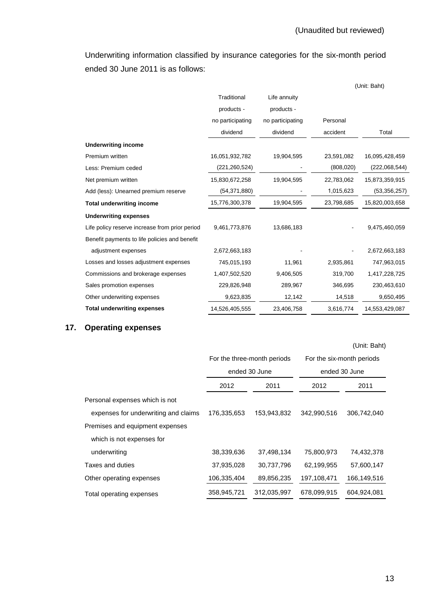Underwriting information classified by insurance categories for the six-month period ended 30 June 2011 is as follows:

|                                                |                  |                  |            | (Unit: Baht)   |
|------------------------------------------------|------------------|------------------|------------|----------------|
|                                                | Traditional      | Life annuity     |            |                |
|                                                | products -       | products -       |            |                |
|                                                | no participating | no participating | Personal   |                |
|                                                | dividend         | dividend         | accident   | Total          |
| <b>Underwriting income</b>                     |                  |                  |            |                |
| Premium written                                | 16,051,932,782   | 19,904,595       | 23,591,082 | 16,095,428,459 |
| Less: Premium ceded                            | (221,260,524)    |                  | (808, 020) | (222,068,544)  |
| Net premium written                            | 15,830,672,258   | 19,904,595       | 22,783,062 | 15,873,359,915 |
| Add (less): Unearned premium reserve           | (54, 371, 880)   |                  | 1,015,623  | (53, 356, 257) |
| <b>Total underwriting income</b>               | 15,776,300,378   | 19,904,595       | 23,798,685 | 15,820,003,658 |
| <b>Underwriting expenses</b>                   |                  |                  |            |                |
| Life policy reserve increase from prior period | 9,461,773,876    | 13,686,183       |            | 9,475,460,059  |
| Benefit payments to life policies and benefit  |                  |                  |            |                |
| adjustment expenses                            | 2,672,663,183    |                  |            | 2,672,663,183  |
| Losses and losses adjustment expenses          | 745,015,193      | 11,961           | 2,935,861  | 747,963,015    |
| Commissions and brokerage expenses             | 1,407,502,520    | 9,406,505        | 319,700    | 1,417,228,725  |
| Sales promotion expenses                       | 229,826,948      | 289,967          | 346,695    | 230,463,610    |
| Other underwriting expenses                    | 9,623,835        | 12,142           | 14,518     | 9,650,495      |
| <b>Total underwriting expenses</b>             | 14,526,405,555   | 23,406,758       | 3,616,774  | 14,553,429,087 |

# **17. Operating expenses**

## (Unit: Baht)

|                                      | For the three-month periods |               | For the six-month periods |             |
|--------------------------------------|-----------------------------|---------------|---------------------------|-------------|
|                                      |                             | ended 30 June | ended 30 June             |             |
|                                      | 2012                        | 2011          | 2012                      | 2011        |
| Personal expenses which is not       |                             |               |                           |             |
| expenses for underwriting and claims | 176,335,653                 | 153,943,832   | 342,990,516               | 306,742,040 |
| Premises and equipment expenses      |                             |               |                           |             |
| which is not expenses for            |                             |               |                           |             |
| underwriting                         | 38,339,636                  | 37,498,134    | 75,800,973                | 74,432,378  |
| Taxes and duties                     | 37,935,028                  | 30.737.796    | 62,199,955                | 57,600,147  |
| Other operating expenses             | 106,335,404                 | 89,856,235    | 197,108,471               | 166,149,516 |
| Total operating expenses             | 358,945,721                 | 312,035,997   | 678.099.915               | 604.924.081 |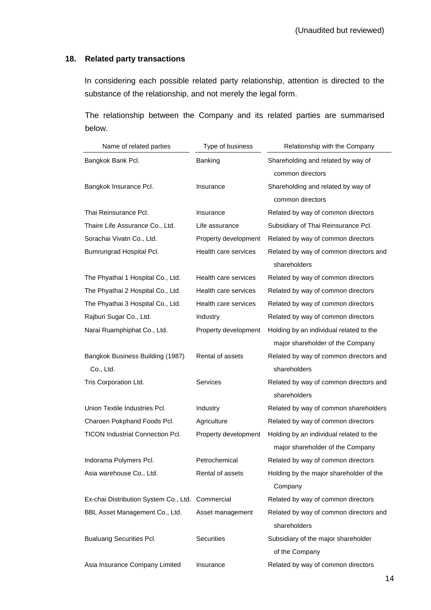## **18. Related party transactions**

 In considering each possible related party relationship, attention is directed to the substance of the relationship, and not merely the legal form.

 The relationship between the Company and its related parties are summarised below.

| Name of related parties                          | Type of business     | Relationship with the Company                          |  |  |
|--------------------------------------------------|----------------------|--------------------------------------------------------|--|--|
| Bangkok Bank Pcl.                                | Banking              | Shareholding and related by way of                     |  |  |
|                                                  |                      | common directors                                       |  |  |
| Bangkok Insurance Pcl.                           | Insurance            | Shareholding and related by way of                     |  |  |
|                                                  |                      | common directors                                       |  |  |
| Thai Reinsurance Pcl.                            | Insurance            | Related by way of common directors                     |  |  |
| Thaire Life Assurance Co., Ltd.                  | Life assurance       | Subsidiary of Thai Reinsurance Pcl.                    |  |  |
| Sorachai Vivatn Co., Ltd.                        | Property development | Related by way of common directors                     |  |  |
| Bumrungrad Hospital Pcl.                         | Health care services | Related by way of common directors and                 |  |  |
|                                                  |                      | shareholders                                           |  |  |
| The Phyathai 1 Hospital Co., Ltd.                | Health care services | Related by way of common directors                     |  |  |
| The Phyathai 2 Hospital Co., Ltd.                | Health care services | Related by way of common directors                     |  |  |
| The Phyathai 3 Hospital Co., Ltd.                | Health care services | Related by way of common directors                     |  |  |
| Rajburi Sugar Co., Ltd.                          | Industry             | Related by way of common directors                     |  |  |
| Narai Ruamphiphat Co., Ltd.                      | Property development | Holding by an individual related to the                |  |  |
|                                                  |                      | major shareholder of the Company                       |  |  |
| Bangkok Business Building (1987)                 | Rental of assets     | Related by way of common directors and                 |  |  |
| Co., Ltd.                                        |                      | shareholders                                           |  |  |
| Tris Corporation Ltd.                            | <b>Services</b>      | Related by way of common directors and                 |  |  |
|                                                  |                      | shareholders                                           |  |  |
| Union Textile Industries Pcl.                    | Industry             | Related by way of common shareholders                  |  |  |
| Charoen Pokphand Foods Pcl.                      | Agriculture          | Related by way of common directors                     |  |  |
| <b>TICON Industrial Connection Pcl.</b>          | Property development | Holding by an individual related to the                |  |  |
|                                                  |                      | major shareholder of the Company                       |  |  |
| Indorama Polymers Pcl.                           | Petrochemical        | Related by way of common directors                     |  |  |
| Asia warehouse Co., Ltd.                         | Rental of assets     | Holding by the major shareholder of the                |  |  |
|                                                  |                      | Company                                                |  |  |
| Ex-chai Distribution System Co., Ltd. Commercial |                      | Related by way of common directors                     |  |  |
| BBL Asset Management Co., Ltd.                   | Asset management     | Related by way of common directors and<br>shareholders |  |  |
| <b>Bualuang Securities Pcl.</b>                  | Securities           | Subsidiary of the major shareholder                    |  |  |
|                                                  |                      | of the Company                                         |  |  |
| Asia Insurance Company Limited                   | Insurance            | Related by way of common directors                     |  |  |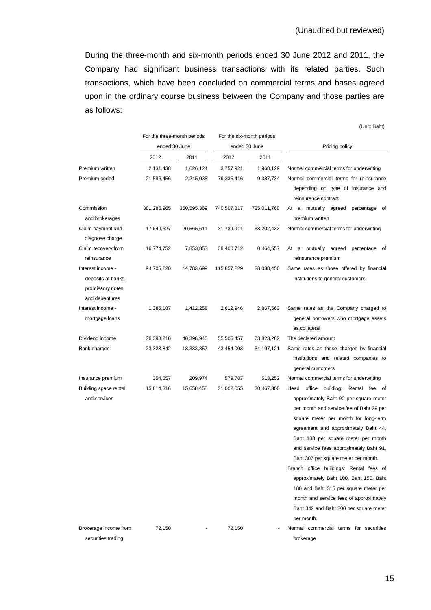(Unit: Baht)

During the three-month and six-month periods ended 30 June 2012 and 2011, the Company had significant business transactions with its related parties. Such transactions, which have been concluded on commercial terms and bases agreed upon in the ordinary course business between the Company and those parties are as follows:

|                                                                               | For the three-month periods<br>ended 30 June |                        | For the six-month periods<br>ended 30 June |                        | Pricing policy                                                                                                                                                                                                                                                                                                                                                                                                                    |
|-------------------------------------------------------------------------------|----------------------------------------------|------------------------|--------------------------------------------|------------------------|-----------------------------------------------------------------------------------------------------------------------------------------------------------------------------------------------------------------------------------------------------------------------------------------------------------------------------------------------------------------------------------------------------------------------------------|
|                                                                               | 2012                                         | 2011                   | 2012                                       | 2011                   |                                                                                                                                                                                                                                                                                                                                                                                                                                   |
| Premium written                                                               |                                              |                        |                                            |                        |                                                                                                                                                                                                                                                                                                                                                                                                                                   |
| Premium ceded                                                                 | 2,131,438<br>21,596,456                      | 1,626,124<br>2,245,038 | 3,757,921<br>79,335,416                    | 1,968,129<br>9,387,734 | Normal commercial terms for underwriting<br>Normal commercial terms for reinsurance<br>depending on type of insurance and<br>reinsurance contract                                                                                                                                                                                                                                                                                 |
| Commission<br>and brokerages                                                  | 381,285,965                                  | 350,595,369            | 740,507,817                                | 725,011,760            | At a mutually agreed<br>percentage<br>of<br>premium written                                                                                                                                                                                                                                                                                                                                                                       |
| Claim payment and<br>diagnose charge                                          | 17,649,627                                   | 20,565,611             | 31,739,911                                 | 38,202,433             | Normal commercial terms for underwriting                                                                                                                                                                                                                                                                                                                                                                                          |
| Claim recovery from<br>reinsurance                                            | 16,774,752                                   | 7,853,853              | 39,400,712                                 | 8,464,557              | At a mutually agreed<br>percentage of<br>reinsurance premium                                                                                                                                                                                                                                                                                                                                                                      |
| Interest income -<br>deposits at banks,<br>promissory notes<br>and debentures | 94,705,220                                   | 14,783,699             | 115,857,229                                | 28,038,450             | Same rates as those offered by financial<br>institutions to general customers                                                                                                                                                                                                                                                                                                                                                     |
| Interest income -<br>mortgage loans                                           | 1,386,187                                    | 1,412,258              | 2,612,946                                  | 2,867,563              | Same rates as the Company charged to<br>general borrowers who mortgage assets<br>as collateral                                                                                                                                                                                                                                                                                                                                    |
| Dividend income                                                               | 26,398,210                                   | 40,398,945             | 55,505,457                                 | 73,823,282             | The declared amount                                                                                                                                                                                                                                                                                                                                                                                                               |
| Bank charges                                                                  | 23,323,842                                   | 18,383,857             | 43,454,003                                 | 34, 197, 121           | Same rates as those charged by financial<br>institutions and related companies to<br>general customers                                                                                                                                                                                                                                                                                                                            |
| Insurance premium                                                             | 354,557                                      | 209,974                | 579,787                                    | 513,252                | Normal commercial terms for underwriting                                                                                                                                                                                                                                                                                                                                                                                          |
| Building space rental<br>and services                                         | 15,614,316                                   | 15,658,458             | 31,002,055                                 | 30,467,300             | building:<br>Rental fee of<br>Head<br>office<br>approximately Baht 90 per square meter<br>per month and service fee of Baht 29 per<br>square meter per month for long-term<br>agreement and approximately Baht 44,<br>Baht 138 per square meter per month<br>and service fees approximately Baht 91,<br>Baht 307 per square meter per month.<br>Branch office buildings: Rental fees of<br>approximately Baht 100, Baht 150, Baht |
|                                                                               |                                              |                        |                                            |                        | 188 and Baht 315 per square meter per<br>month and service fees of approximately<br>Baht 342 and Baht 200 per square meter<br>per month.                                                                                                                                                                                                                                                                                          |
| Brokerage income from                                                         | 72,150                                       |                        | 72,150                                     |                        | Normal commercial terms for securities                                                                                                                                                                                                                                                                                                                                                                                            |
| securities trading                                                            |                                              |                        |                                            |                        | brokerage                                                                                                                                                                                                                                                                                                                                                                                                                         |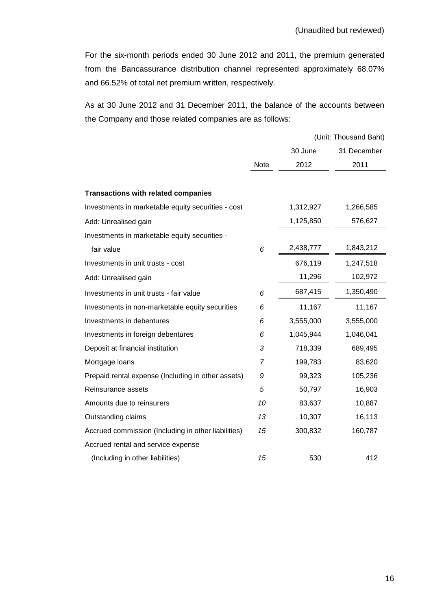For the six-month periods ended 30 June 2012 and 2011, the premium generated from the Bancassurance distribution channel represented approximately 68.07% and 66.52% of total net premium written, respectively.

As at 30 June 2012 and 31 December 2011, the balance of the accounts between the Company and those related companies are as follows:

|                                                     |             |           | (Unit: Thousand Baht) |
|-----------------------------------------------------|-------------|-----------|-----------------------|
|                                                     |             | 30 June   | 31 December           |
|                                                     | <b>Note</b> | 2012      | 2011                  |
|                                                     |             |           |                       |
| <b>Transactions with related companies</b>          |             |           |                       |
| Investments in marketable equity securities - cost  |             | 1,312,927 | 1,266,585             |
| Add: Unrealised gain                                |             | 1,125,850 | 576,627               |
| Investments in marketable equity securities -       |             |           |                       |
| fair value                                          | 6           | 2,438,777 | 1,843,212             |
| Investments in unit trusts - cost                   |             | 676,119   | 1,247,518             |
| Add: Unrealised gain                                |             | 11,296    | 102,972               |
| Investments in unit trusts - fair value             | 6           | 687,415   | 1,350,490             |
| Investments in non-marketable equity securities     | 6           | 11,167    | 11,167                |
| Investments in debentures                           | 6           | 3,555,000 | 3,555,000             |
| Investments in foreign debentures                   | 6           | 1,045,944 | 1,046,041             |
| Deposit at financial institution                    | 3           | 718,339   | 689,495               |
| Mortgage loans                                      | 7           | 199,783   | 83,620                |
| Prepaid rental expense (Including in other assets)  | 9           | 99,323    | 105,236               |
| Reinsurance assets                                  | 5           | 50,797    | 16,903                |
| Amounts due to reinsurers                           | 10          | 83,637    | 10,887                |
| Outstanding claims                                  | 13          | 10,307    | 16,113                |
| Accrued commission (Including in other liabilities) | 15          | 300,832   | 160,787               |
| Accrued rental and service expense                  |             |           |                       |
| (Including in other liabilities)                    | 15          | 530       | 412                   |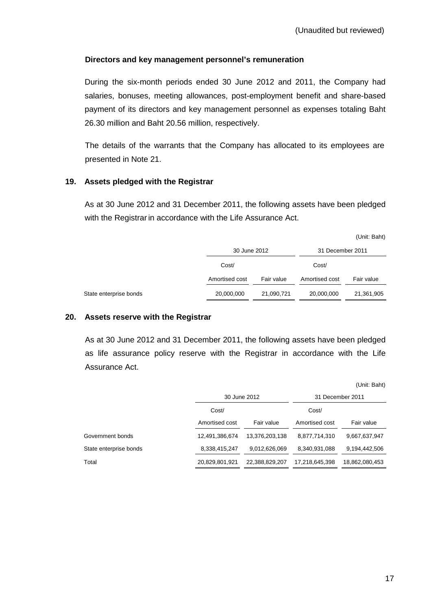## **Directors and key management personnel's remuneration**

 During the six-month periods ended 30 June 2012 and 2011, the Company had salaries, bonuses, meeting allowances, post-employment benefit and share-based payment of its directors and key management personnel as expenses totaling Baht 26.30 million and Baht 20.56 million, respectively.

 The details of the warrants that the Company has allocated to its employees are presented in Note 21.

#### **19. Assets pledged with the Registrar**

 As at 30 June 2012 and 31 December 2011, the following assets have been pledged with the Registrar in accordance with the Life Assurance Act.

|                        |                |            |                  | (Unit: Baht) |
|------------------------|----------------|------------|------------------|--------------|
|                        | 30 June 2012   |            | 31 December 2011 |              |
|                        | Cost/          |            | Cost/            |              |
|                        | Amortised cost | Fair value | Amortised cost   | Fair value   |
| State enterprise bonds | 20,000,000     | 21,090,721 | 20,000,000       | 21,361,905   |

#### **20. Assets reserve with the Registrar**

 As at 30 June 2012 and 31 December 2011, the following assets have been pledged as life assurance policy reserve with the Registrar in accordance with the Life Assurance Act.

|                        |                |                |                | (Unit: Baht)     |
|------------------------|----------------|----------------|----------------|------------------|
|                        | 30 June 2012   |                |                | 31 December 2011 |
|                        | Cost/          |                | Cost/          |                  |
|                        | Amortised cost | Fair value     | Amortised cost | Fair value       |
| Government bonds       | 12,491,386,674 | 13,376,203,138 | 8,877,714,310  | 9,667,637,947    |
| State enterprise bonds | 8,338,415,247  | 9,012,626,069  | 8,340,931,088  | 9,194,442,506    |
| Total                  | 20,829,801,921 | 22,388,829,207 | 17,218,645,398 | 18,862,080,453   |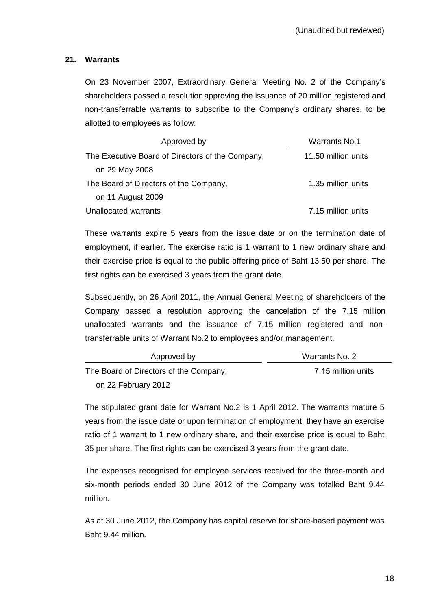## **21. Warrants**

On 23 November 2007, Extraordinary General Meeting No. 2 of the Company's shareholders passed a resolution approving the issuance of 20 million registered and non-transferrable warrants to subscribe to the Company's ordinary shares, to be allotted to employees as follow:

| Approved by                                      | <b>Warrants No.1</b> |
|--------------------------------------------------|----------------------|
| The Executive Board of Directors of the Company, | 11.50 million units  |
| on 29 May 2008                                   |                      |
| The Board of Directors of the Company,           | 1.35 million units   |
| on 11 August 2009                                |                      |
| Unallocated warrants                             | 7.15 million units   |

 These warrants expire 5 years from the issue date or on the termination date of employment, if earlier. The exercise ratio is 1 warrant to 1 new ordinary share and their exercise price is equal to the public offering price of Baht 13.50 per share. The first rights can be exercised 3 years from the grant date.

 Subsequently, on 26 April 2011, the Annual General Meeting of shareholders of the Company passed a resolution approving the cancelation of the 7.15 million unallocated warrants and the issuance of 7.15 million registered and nontransferrable units of Warrant No.2 to employees and/or management.

| Approved by                            | Warrants No. 2     |
|----------------------------------------|--------------------|
| The Board of Directors of the Company, | 7.15 million units |
| on 22 February 2012                    |                    |

The stipulated grant date for Warrant No.2 is 1 April 2012. The warrants mature 5 years from the issue date or upon termination of employment, they have an exercise ratio of 1 warrant to 1 new ordinary share, and their exercise price is equal to Baht 35 per share. The first rights can be exercised 3 years from the grant date.

The expenses recognised for employee services received for the three-month and six-month periods ended 30 June 2012 of the Company was totalled Baht 9.44 million.

As at 30 June 2012, the Company has capital reserve for share-based payment was Baht 9.44 million.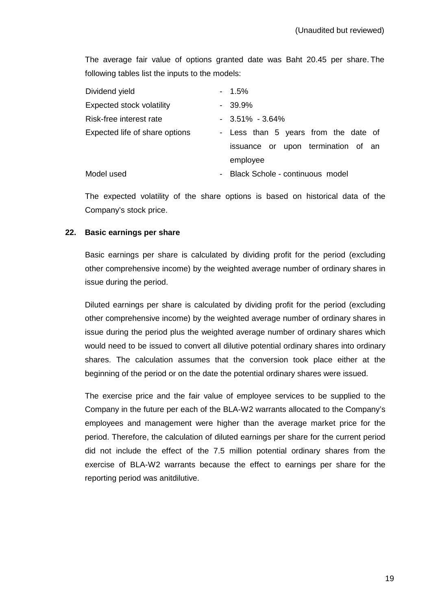The average fair value of options granted date was Baht 20.45 per share. The following tables list the inputs to the models:

| Dividend yield                   | $-1.5\%$                             |
|----------------------------------|--------------------------------------|
| <b>Expected stock volatility</b> | $-39.9\%$                            |
| Risk-free interest rate          | $-3.51\% - 3.64\%$                   |
| Expected life of share options   | - Less than 5 years from the date of |
|                                  | issuance or upon termination of an   |
|                                  | employee                             |
| Model used                       | - Black Schole - continuous model    |

 The expected volatility of the share options is based on historical data of the Company's stock price.

#### **22. Basic earnings per share**

 Basic earnings per share is calculated by dividing profit for the period (excluding other comprehensive income) by the weighted average number of ordinary shares in issue during the period.

 Diluted earnings per share is calculated by dividing profit for the period (excluding other comprehensive income) by the weighted average number of ordinary shares in issue during the period plus the weighted average number of ordinary shares which would need to be issued to convert all dilutive potential ordinary shares into ordinary shares. The calculation assumes that the conversion took place either at the beginning of the period or on the date the potential ordinary shares were issued.

 The exercise price and the fair value of employee services to be supplied to the Company in the future per each of the BLA-W2 warrants allocated to the Company's employees and management were higher than the average market price for the period. Therefore, the calculation of diluted earnings per share for the current period did not include the effect of the 7.5 million potential ordinary shares from the exercise of BLA-W2 warrants because the effect to earnings per share for the reporting period was anitdilutive.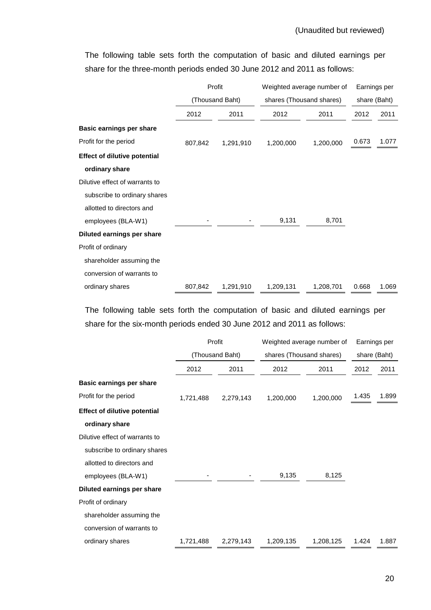Profit Weighted average number of Earnings per (Thousand Baht) shares (Thousand shares) share (Baht) 2012 2011 2012 2011 2012 2011 **Basic earnings per share**  Profit for the period **807,842** 1,291,910 1,200,000 1,200,000 0.673 1.077 **Effect of dilutive potential ordinary share**  Dilutive effect of warrants to subscribe to ordinary shares allotted to directors and employees (BLA-W1) - - 9,131 8,701 **Diluted earnings per share**  Profit of ordinary shareholder assuming the conversion of warrants to ordinary shares 807,842 1,291,910 1,209,131 1,208,701 0.668 1.069

The following table sets forth the computation of basic and diluted earnings per share for the three-month periods ended 30 June 2012 and 2011 as follows:

The following table sets forth the computation of basic and diluted earnings per share for the six-month periods ended 30 June 2012 and 2011 as follows:

|                                     | Profit          |           | Weighted average number of |           | Earnings per |       |
|-------------------------------------|-----------------|-----------|----------------------------|-----------|--------------|-------|
|                                     | (Thousand Baht) |           | shares (Thousand shares)   |           | share (Baht) |       |
|                                     | 2012            | 2011      | 2012                       | 2011      | 2012         | 2011  |
| Basic earnings per share            |                 |           |                            |           |              |       |
| Profit for the period               | 1,721,488       | 2,279,143 | 1,200,000                  | 1,200,000 | 1.435        | 1.899 |
| <b>Effect of dilutive potential</b> |                 |           |                            |           |              |       |
| ordinary share                      |                 |           |                            |           |              |       |
| Dilutive effect of warrants to      |                 |           |                            |           |              |       |
| subscribe to ordinary shares        |                 |           |                            |           |              |       |
| allotted to directors and           |                 |           |                            |           |              |       |
| employees (BLA-W1)                  |                 |           | 9,135                      | 8,125     |              |       |
| Diluted earnings per share          |                 |           |                            |           |              |       |
| Profit of ordinary                  |                 |           |                            |           |              |       |
| shareholder assuming the            |                 |           |                            |           |              |       |
| conversion of warrants to           |                 |           |                            |           |              |       |
| ordinary shares                     | 1,721,488       | 2,279,143 | 1,209,135                  | 1,208,125 | 1.424        | 1.887 |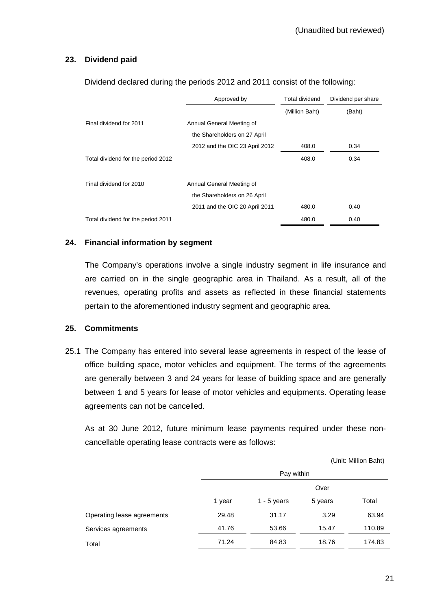## **23. Dividend paid**

|                                    | Approved by                    | <b>Total dividend</b> | Dividend per share |
|------------------------------------|--------------------------------|-----------------------|--------------------|
|                                    |                                | (Million Baht)        | (Baht)             |
| Final dividend for 2011            | Annual General Meeting of      |                       |                    |
|                                    | the Shareholders on 27 April   |                       |                    |
|                                    | 2012 and the OIC 23 April 2012 | 408.0                 | 0.34               |
| Total dividend for the period 2012 |                                | 408.0                 | 0.34               |
|                                    |                                |                       |                    |
| Final dividend for 2010            | Annual General Meeting of      |                       |                    |
|                                    | the Shareholders on 26 April   |                       |                    |
|                                    | 2011 and the OIC 20 April 2011 | 480.0                 | 0.40               |
| Total dividend for the period 2011 |                                | 480.0                 | 0.40               |

Dividend declared during the periods 2012 and 2011 consist of the following:

#### **24. Financial information by segment**

 The Company's operations involve a single industry segment in life insurance and are carried on in the single geographic area in Thailand. As a result, all of the revenues, operating profits and assets as reflected in these financial statements pertain to the aforementioned industry segment and geographic area.

#### **25. Commitments**

25.1 The Company has entered into several lease agreements in respect of the lease of office building space, motor vehicles and equipment. The terms of the agreements are generally between 3 and 24 years for lease of building space and are generally between 1 and 5 years for lease of motor vehicles and equipments. Operating lease agreements can not be cancelled.

 As at 30 June 2012, future minimum lease payments required under these noncancellable operating lease contracts were as follows:

(Unit: Million Baht)

|        |               | Over    |            |
|--------|---------------|---------|------------|
| 1 year | $1 - 5$ years | 5 years | Total      |
| 29.48  | 31.17         | 3.29    | 63.94      |
| 41.76  | 53.66         | 15.47   | 110.89     |
| 71.24  | 84.83         | 18.76   | 174.83     |
|        |               |         | Pay within |